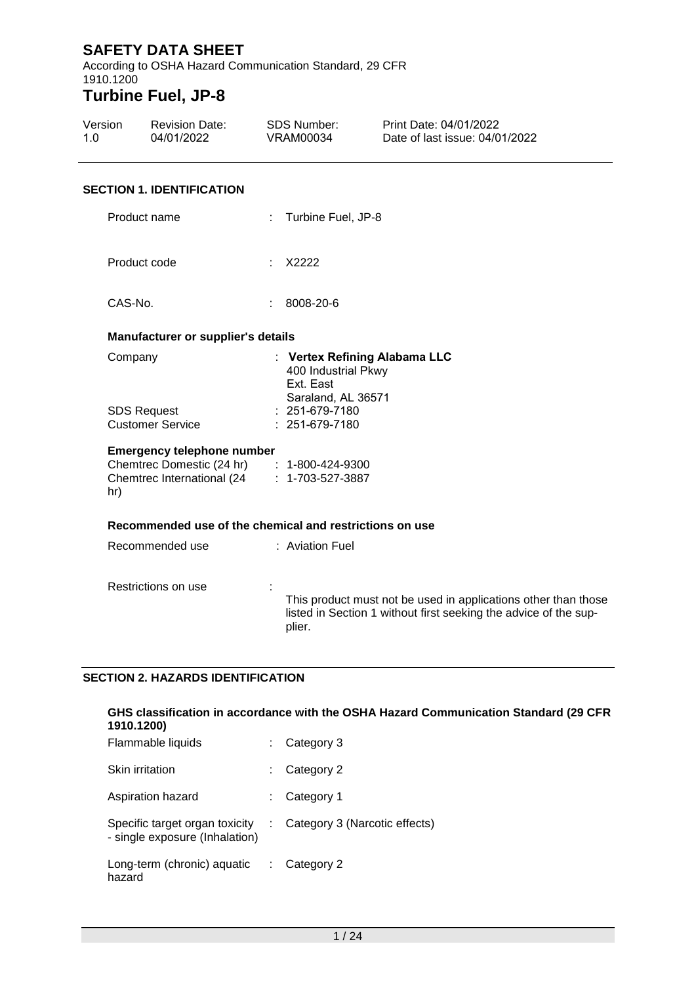According to OSHA Hazard Communication Standard, 29 CFR 1910.1200 **Turbine Fuel, JP-8**

#### Version 1.0 Revision Date: 04/01/2022 SDS Number: VRAM00034 Print Date: 04/01/2022 Date of last issue: 04/01/2022

#### **SECTION 1. IDENTIFICATION**

| Product name                                                                                                                          |   | : Turbine Fuel, JP-8                                                                                                                         |
|---------------------------------------------------------------------------------------------------------------------------------------|---|----------------------------------------------------------------------------------------------------------------------------------------------|
| Product code                                                                                                                          | ÷ | X2222                                                                                                                                        |
| CAS-No.                                                                                                                               | ÷ | 8008-20-6                                                                                                                                    |
| <b>Manufacturer or supplier's details</b>                                                                                             |   |                                                                                                                                              |
| Company                                                                                                                               |   | : Vertex Refining Alabama LLC<br>400 Industrial Pkwy<br>Ext. East                                                                            |
| <b>SDS Request</b><br><b>Customer Service</b>                                                                                         |   | Saraland, AL 36571<br>$: 251-679-7180$<br>: 251-679-7180                                                                                     |
| <b>Emergency telephone number</b><br>Chemtrec Domestic (24 hr) : 1-800-424-9300<br>Chemtrec International (24 : 1-703-527-3887<br>hr) |   |                                                                                                                                              |
| Recommended use of the chemical and restrictions on use                                                                               |   |                                                                                                                                              |
| Recommended use                                                                                                                       |   | : Aviation Fuel                                                                                                                              |
| Restrictions on use                                                                                                                   |   | This product must not be used in applications other than those<br>listed in Section 1 without first seeking the advice of the sup-<br>plier. |

#### **SECTION 2. HAZARDS IDENTIFICATION**

#### **GHS classification in accordance with the OSHA Hazard Communication Standard (29 CFR 1910.1200)** Flammable liquids : Category 3

| <b>Flammable liquids</b>                                         | : Category 3                  |
|------------------------------------------------------------------|-------------------------------|
| <b>Skin irritation</b>                                           | Category 2                    |
| Aspiration hazard                                                | Category 1                    |
| Specific target organ toxicity<br>- single exposure (Inhalation) | Category 3 (Narcotic effects) |
| Long-term (chronic) aquatic<br>hazard                            | $\therefore$ Category 2       |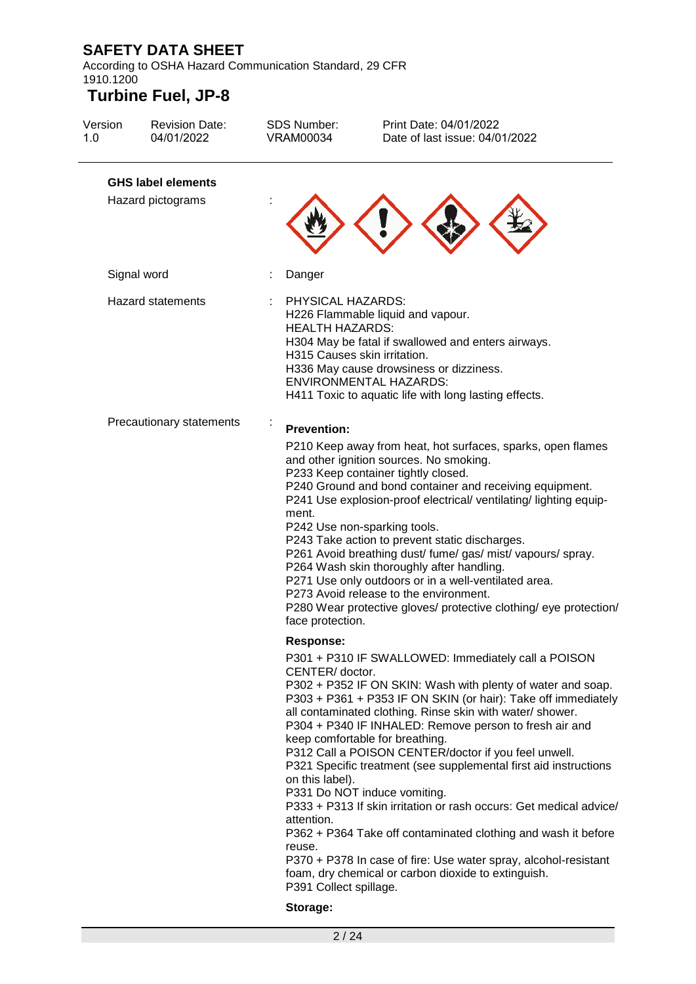According to OSHA Hazard Communication Standard, 29 CFR 1910.1200

| Version<br>1.0 | <b>Revision Date:</b><br>04/01/2022 | <b>SDS Number:</b><br><b>VRAM00034</b>                                               | Print Date: 04/01/2022<br>Date of last issue: 04/01/2022                                                                                                                                                                                                                                                                                                                                                                                                                                                                                                                                                                                                                                                                                                                   |
|----------------|-------------------------------------|--------------------------------------------------------------------------------------|----------------------------------------------------------------------------------------------------------------------------------------------------------------------------------------------------------------------------------------------------------------------------------------------------------------------------------------------------------------------------------------------------------------------------------------------------------------------------------------------------------------------------------------------------------------------------------------------------------------------------------------------------------------------------------------------------------------------------------------------------------------------------|
|                | <b>GHS label elements</b>           |                                                                                      |                                                                                                                                                                                                                                                                                                                                                                                                                                                                                                                                                                                                                                                                                                                                                                            |
|                | Hazard pictograms                   |                                                                                      |                                                                                                                                                                                                                                                                                                                                                                                                                                                                                                                                                                                                                                                                                                                                                                            |
|                | Signal word                         | Danger                                                                               |                                                                                                                                                                                                                                                                                                                                                                                                                                                                                                                                                                                                                                                                                                                                                                            |
|                | <b>Hazard statements</b>            | PHYSICAL HAZARDS:<br><b>HEALTH HAZARDS:</b><br>H315 Causes skin irritation.          | H226 Flammable liquid and vapour.<br>H304 May be fatal if swallowed and enters airways.<br>H336 May cause drowsiness or dizziness.<br><b>ENVIRONMENTAL HAZARDS:</b><br>H411 Toxic to aquatic life with long lasting effects.                                                                                                                                                                                                                                                                                                                                                                                                                                                                                                                                               |
|                | Precautionary statements            | <b>Prevention:</b>                                                                   |                                                                                                                                                                                                                                                                                                                                                                                                                                                                                                                                                                                                                                                                                                                                                                            |
|                |                                     | ment.<br>face protection.                                                            | P210 Keep away from heat, hot surfaces, sparks, open flames<br>and other ignition sources. No smoking.<br>P233 Keep container tightly closed.<br>P240 Ground and bond container and receiving equipment.<br>P241 Use explosion-proof electrical/ ventilating/ lighting equip-<br>P242 Use non-sparking tools.<br>P243 Take action to prevent static discharges.<br>P261 Avoid breathing dust/ fume/ gas/ mist/ vapours/ spray.<br>P264 Wash skin thoroughly after handling.<br>P271 Use only outdoors or in a well-ventilated area.<br>P273 Avoid release to the environment.<br>P280 Wear protective gloves/ protective clothing/ eye protection/                                                                                                                         |
|                |                                     | <b>Response:</b>                                                                     |                                                                                                                                                                                                                                                                                                                                                                                                                                                                                                                                                                                                                                                                                                                                                                            |
|                |                                     | CENTER/ doctor.<br>on this label).<br>attention.<br>reuse.<br>P391 Collect spillage. | P301 + P310 IF SWALLOWED: Immediately call a POISON<br>P302 + P352 IF ON SKIN: Wash with plenty of water and soap.<br>P303 + P361 + P353 IF ON SKIN (or hair): Take off immediately<br>all contaminated clothing. Rinse skin with water/ shower.<br>P304 + P340 IF INHALED: Remove person to fresh air and<br>keep comfortable for breathing.<br>P312 Call a POISON CENTER/doctor if you feel unwell.<br>P321 Specific treatment (see supplemental first aid instructions<br>P331 Do NOT induce vomiting.<br>P333 + P313 If skin irritation or rash occurs: Get medical advice/<br>P362 + P364 Take off contaminated clothing and wash it before<br>P370 + P378 In case of fire: Use water spray, alcohol-resistant<br>foam, dry chemical or carbon dioxide to extinguish. |
|                |                                     | Storage:                                                                             |                                                                                                                                                                                                                                                                                                                                                                                                                                                                                                                                                                                                                                                                                                                                                                            |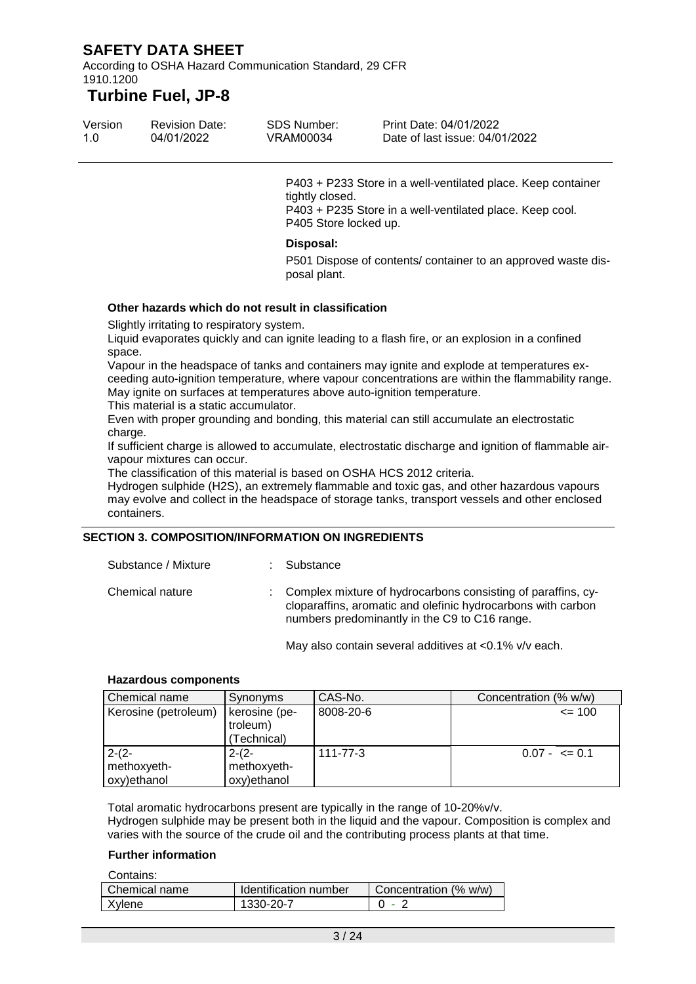According to OSHA Hazard Communication Standard, 29 CFR 1910.1200

### **Turbine Fuel, JP-8**

| Version | <b>Revision Date:</b> | SDS Number: | Print Date: 04/01/2022         |
|---------|-----------------------|-------------|--------------------------------|
| 1.0     | 04/01/2022            | VRAM00034   | Date of last issue: 04/01/2022 |

P403 + P233 Store in a well-ventilated place. Keep container tightly closed. P403 + P235 Store in a well-ventilated place. Keep cool. P405 Store locked up.

#### **Disposal:**

P501 Dispose of contents/ container to an approved waste disposal plant.

#### **Other hazards which do not result in classification**

Slightly irritating to respiratory system.

Liquid evaporates quickly and can ignite leading to a flash fire, or an explosion in a confined space.

Vapour in the headspace of tanks and containers may ignite and explode at temperatures exceeding auto-ignition temperature, where vapour concentrations are within the flammability range. May ignite on surfaces at temperatures above auto-ignition temperature.

This material is a static accumulator.

Even with proper grounding and bonding, this material can still accumulate an electrostatic charge.

If sufficient charge is allowed to accumulate, electrostatic discharge and ignition of flammable airvapour mixtures can occur.

The classification of this material is based on OSHA HCS 2012 criteria.

Hydrogen sulphide (H2S), an extremely flammable and toxic gas, and other hazardous vapours may evolve and collect in the headspace of storage tanks, transport vessels and other enclosed containers.

#### **SECTION 3. COMPOSITION/INFORMATION ON INGREDIENTS**

| Substance / Mixture | : Substance                                                                                                                                                                   |
|---------------------|-------------------------------------------------------------------------------------------------------------------------------------------------------------------------------|
| Chemical nature     | Complex mixture of hydrocarbons consisting of paraffins, cy-<br>cloparaffins, aromatic and olefinic hydrocarbons with carbon<br>numbers predominantly in the C9 to C16 range. |

May also contain several additives at <0.1% v/v each.

#### **Hazardous components**

| Chemical name        | Synonyms      | CAS-No.   | Concentration (% w/w) |
|----------------------|---------------|-----------|-----------------------|
| Kerosine (petroleum) | kerosine (pe- | 8008-20-6 | $= 100$               |
|                      | troleum)      |           |                       |
|                      | (Technical)   |           |                       |
| $2-(2-$              | $2-(2-$       | 111-77-3  | $0.07 - \leq 0.1$     |
| methoxyeth-          | methoxyeth-   |           |                       |
| oxy)ethanol          | oxy)ethanol   |           |                       |

Total aromatic hydrocarbons present are typically in the range of 10-20%v/v. Hydrogen sulphide may be present both in the liquid and the vapour. Composition is complex and varies with the source of the crude oil and the contributing process plants at that time.

#### **Further information**

| Contains:       |                       |                       |
|-----------------|-----------------------|-----------------------|
| l Chemical name | Identification number | Concentration (% w/w) |
| Xylene          | 1330-20-7             |                       |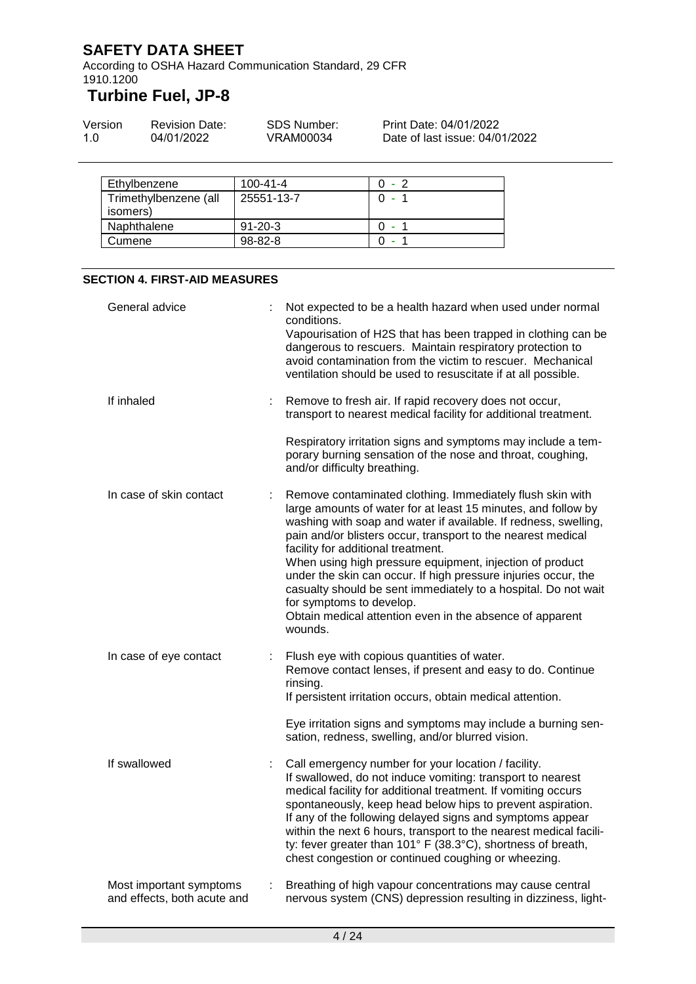According to OSHA Hazard Communication Standard, 29 CFR 1910.1200

# **Turbine Fuel, JP-8**

| Version | <b>Revision Date:</b> | SDS Number: | Print Date: 04/01/2022         |
|---------|-----------------------|-------------|--------------------------------|
| 1.O     | 04/01/2022            | VRAM00034   | Date of last issue: 04/01/2022 |

| Ethylbenzene                      | $100 - 41 - 4$ | በ - 2 |
|-----------------------------------|----------------|-------|
| Trimethylbenzene (all<br>isomers) | 25551-13-7     |       |
| Naphthalene                       | $91 - 20 - 3$  | ۰     |
| Cumene                            | $98 - 82 - 8$  |       |

#### **SECTION 4. FIRST-AID MEASURES**

| General advice                                         | Not expected to be a health hazard when used under normal<br>conditions.<br>Vapourisation of H2S that has been trapped in clothing can be<br>dangerous to rescuers. Maintain respiratory protection to<br>avoid contamination from the victim to rescuer. Mechanical                                                                                                                                                                                                                                      |
|--------------------------------------------------------|-----------------------------------------------------------------------------------------------------------------------------------------------------------------------------------------------------------------------------------------------------------------------------------------------------------------------------------------------------------------------------------------------------------------------------------------------------------------------------------------------------------|
|                                                        | ventilation should be used to resuscitate if at all possible.                                                                                                                                                                                                                                                                                                                                                                                                                                             |
| If inhaled                                             | Remove to fresh air. If rapid recovery does not occur,<br>transport to nearest medical facility for additional treatment.                                                                                                                                                                                                                                                                                                                                                                                 |
|                                                        | Respiratory irritation signs and symptoms may include a tem-<br>porary burning sensation of the nose and throat, coughing,<br>and/or difficulty breathing.                                                                                                                                                                                                                                                                                                                                                |
| In case of skin contact                                | Remove contaminated clothing. Immediately flush skin with<br>large amounts of water for at least 15 minutes, and follow by<br>washing with soap and water if available. If redness, swelling,<br>pain and/or blisters occur, transport to the nearest medical<br>facility for additional treatment.<br>When using high pressure equipment, injection of product<br>under the skin can occur. If high pressure injuries occur, the<br>casualty should be sent immediately to a hospital. Do not wait       |
|                                                        | for symptoms to develop.<br>Obtain medical attention even in the absence of apparent<br>wounds.                                                                                                                                                                                                                                                                                                                                                                                                           |
| In case of eye contact                                 | Flush eye with copious quantities of water.<br>Remove contact lenses, if present and easy to do. Continue<br>rinsing.<br>If persistent irritation occurs, obtain medical attention.                                                                                                                                                                                                                                                                                                                       |
|                                                        | Eye irritation signs and symptoms may include a burning sen-<br>sation, redness, swelling, and/or blurred vision.                                                                                                                                                                                                                                                                                                                                                                                         |
| If swallowed                                           | Call emergency number for your location / facility.<br>If swallowed, do not induce vomiting: transport to nearest<br>medical facility for additional treatment. If vomiting occurs<br>spontaneously, keep head below hips to prevent aspiration.<br>If any of the following delayed signs and symptoms appear<br>within the next 6 hours, transport to the nearest medical facili-<br>ty: fever greater than 101° F (38.3°C), shortness of breath,<br>chest congestion or continued coughing or wheezing. |
| Most important symptoms<br>and effects, both acute and | Breathing of high vapour concentrations may cause central<br>nervous system (CNS) depression resulting in dizziness, light-                                                                                                                                                                                                                                                                                                                                                                               |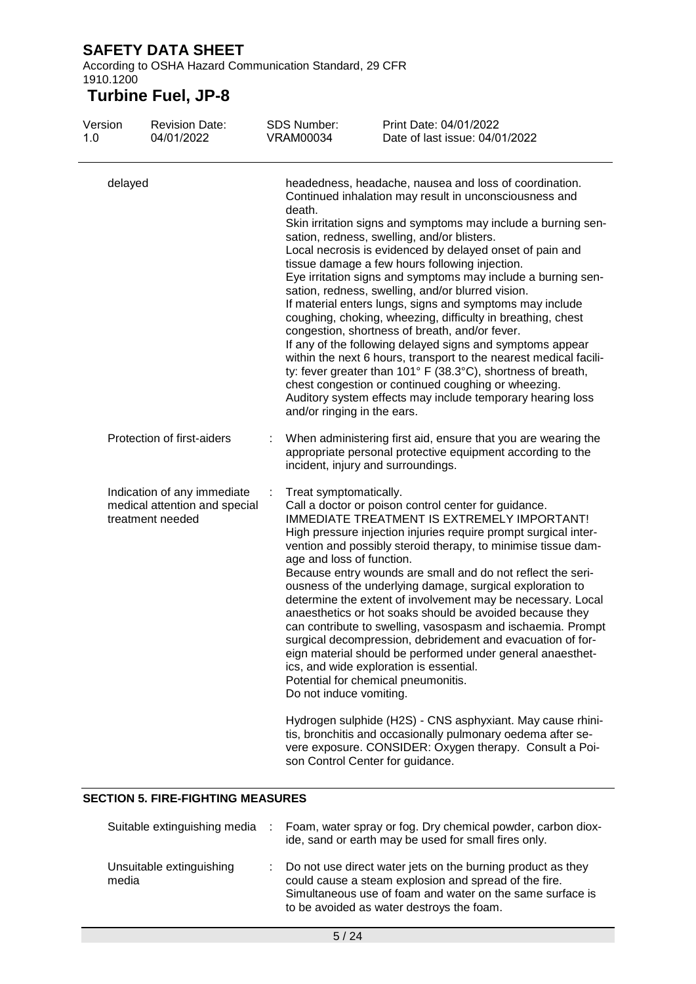According to OSHA Hazard Communication Standard, 29 CFR 1910.1200

# **Turbine Fuel, JP-8**

| Version<br>1.0 | <b>Revision Date:</b><br>04/01/2022                                              | SDS Number:<br><b>VRAM00034</b>                                                | Print Date: 04/01/2022<br>Date of last issue: 04/01/2022                                                                                                                                                                                                                                                                                                                                                                                                                                                                                                                                                                                                                                                                                                                                                                                                                                                                                                                                                |
|----------------|----------------------------------------------------------------------------------|--------------------------------------------------------------------------------|---------------------------------------------------------------------------------------------------------------------------------------------------------------------------------------------------------------------------------------------------------------------------------------------------------------------------------------------------------------------------------------------------------------------------------------------------------------------------------------------------------------------------------------------------------------------------------------------------------------------------------------------------------------------------------------------------------------------------------------------------------------------------------------------------------------------------------------------------------------------------------------------------------------------------------------------------------------------------------------------------------|
| delayed        |                                                                                  | death.<br>and/or ringing in the ears.                                          | headedness, headache, nausea and loss of coordination.<br>Continued inhalation may result in unconsciousness and<br>Skin irritation signs and symptoms may include a burning sen-<br>sation, redness, swelling, and/or blisters.<br>Local necrosis is evidenced by delayed onset of pain and<br>tissue damage a few hours following injection.<br>Eye irritation signs and symptoms may include a burning sen-<br>sation, redness, swelling, and/or blurred vision.<br>If material enters lungs, signs and symptoms may include<br>coughing, choking, wheezing, difficulty in breathing, chest<br>congestion, shortness of breath, and/or fever.<br>If any of the following delayed signs and symptoms appear<br>within the next 6 hours, transport to the nearest medical facili-<br>ty: fever greater than 101° F (38.3°C), shortness of breath,<br>chest congestion or continued coughing or wheezing.<br>Auditory system effects may include temporary hearing loss                                 |
|                | Protection of first-aiders                                                       |                                                                                | When administering first aid, ensure that you are wearing the<br>appropriate personal protective equipment according to the<br>incident, injury and surroundings.                                                                                                                                                                                                                                                                                                                                                                                                                                                                                                                                                                                                                                                                                                                                                                                                                                       |
|                | Indication of any immediate<br>medical attention and special<br>treatment needed | Treat symptomatically.<br>age and loss of function.<br>Do not induce vomiting. | Call a doctor or poison control center for guidance.<br>IMMEDIATE TREATMENT IS EXTREMELY IMPORTANT!<br>High pressure injection injuries require prompt surgical inter-<br>vention and possibly steroid therapy, to minimise tissue dam-<br>Because entry wounds are small and do not reflect the seri-<br>ousness of the underlying damage, surgical exploration to<br>determine the extent of involvement may be necessary. Local<br>anaesthetics or hot soaks should be avoided because they<br>can contribute to swelling, vasospasm and ischaemia. Prompt<br>surgical decompression, debridement and evacuation of for-<br>eign material should be performed under general anaesthet-<br>ics, and wide exploration is essential.<br>Potential for chemical pneumonitis.<br>Hydrogen sulphide (H2S) - CNS asphyxiant. May cause rhini-<br>tis, bronchitis and occasionally pulmonary oedema after se-<br>vere exposure. CONSIDER: Oxygen therapy. Consult a Poi-<br>son Control Center for guidance. |

### **SECTION 5. FIRE-FIGHTING MEASURES**

| Suitable extinguishing media      | Foam, water spray or fog. Dry chemical powder, carbon diox-<br>ide, sand or earth may be used for small fires only.                                                                                                            |
|-----------------------------------|--------------------------------------------------------------------------------------------------------------------------------------------------------------------------------------------------------------------------------|
| Unsuitable extinguishing<br>media | Do not use direct water jets on the burning product as they<br>could cause a steam explosion and spread of the fire.<br>Simultaneous use of foam and water on the same surface is<br>to be avoided as water destroys the foam. |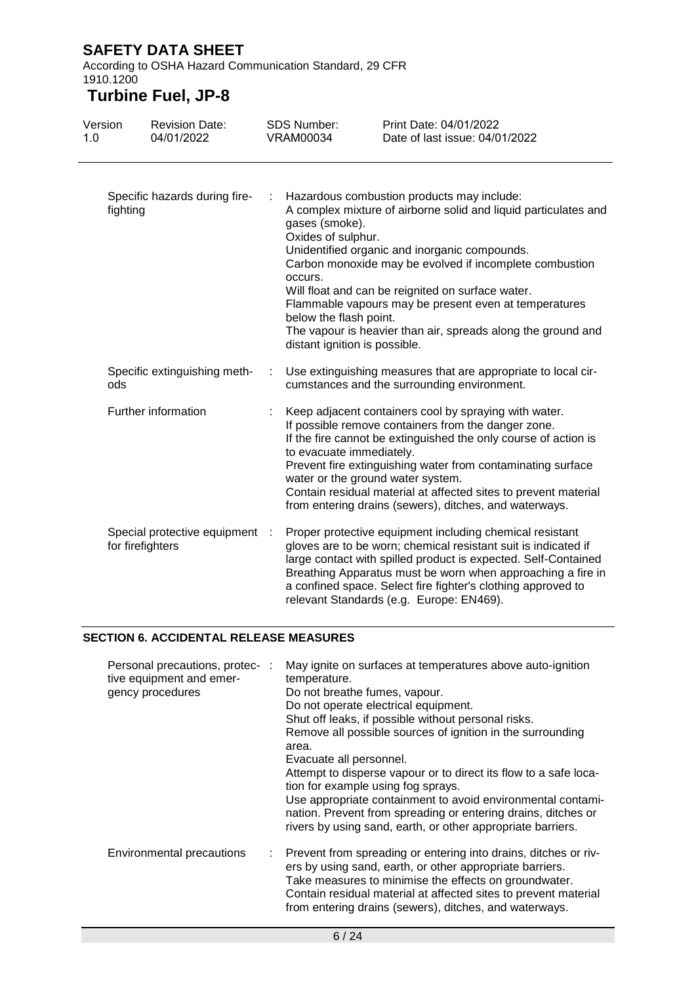According to OSHA Hazard Communication Standard, 29 CFR 1910.1200

# **Turbine Fuel, JP-8**

| Version<br>1.0 |                     | <b>Revision Date:</b><br>04/01/2022 |   | <b>SDS Number:</b><br><b>VRAM00034</b>                                                                                                                                                                                                                                                                                                                                                                                                       | Print Date: 04/01/2022<br>Date of last issue: 04/01/2022                                                                                                                                                                                                                                                                                                                                                |
|----------------|---------------------|-------------------------------------|---|----------------------------------------------------------------------------------------------------------------------------------------------------------------------------------------------------------------------------------------------------------------------------------------------------------------------------------------------------------------------------------------------------------------------------------------------|---------------------------------------------------------------------------------------------------------------------------------------------------------------------------------------------------------------------------------------------------------------------------------------------------------------------------------------------------------------------------------------------------------|
|                | fighting            | Specific hazards during fire-       |   | gases (smoke).<br>Oxides of sulphur.<br>occurs.<br>below the flash point.<br>distant ignition is possible.                                                                                                                                                                                                                                                                                                                                   | Hazardous combustion products may include:<br>A complex mixture of airborne solid and liquid particulates and<br>Unidentified organic and inorganic compounds.<br>Carbon monoxide may be evolved if incomplete combustion<br>Will float and can be reignited on surface water.<br>Flammable vapours may be present even at temperatures<br>The vapour is heavier than air, spreads along the ground and |
|                | ods                 | Specific extinguishing meth-        | ÷ |                                                                                                                                                                                                                                                                                                                                                                                                                                              | Use extinguishing measures that are appropriate to local cir-<br>cumstances and the surrounding environment.                                                                                                                                                                                                                                                                                            |
|                | Further information |                                     |   | Keep adjacent containers cool by spraying with water.<br>If possible remove containers from the danger zone.<br>If the fire cannot be extinguished the only course of action is<br>to evacuate immediately.<br>Prevent fire extinguishing water from contaminating surface<br>water or the ground water system.<br>Contain residual material at affected sites to prevent material<br>from entering drains (sewers), ditches, and waterways. |                                                                                                                                                                                                                                                                                                                                                                                                         |
|                | for firefighters    | Special protective equipment :      |   |                                                                                                                                                                                                                                                                                                                                                                                                                                              | Proper protective equipment including chemical resistant<br>gloves are to be worn; chemical resistant suit is indicated if<br>large contact with spilled product is expected. Self-Contained<br>Breathing Apparatus must be worn when approaching a fire in<br>a confined space. Select fire fighter's clothing approved to<br>relevant Standards (e.g. Europe: EN469).                                 |

### **SECTION 6. ACCIDENTAL RELEASE MEASURES**

| Personal precautions, protec- :<br>tive equipment and emer-<br>gency procedures | May ignite on surfaces at temperatures above auto-ignition<br>temperature.<br>Do not breathe fumes, vapour.<br>Do not operate electrical equipment.<br>Shut off leaks, if possible without personal risks.<br>Remove all possible sources of ignition in the surrounding<br>area.<br>Evacuate all personnel.<br>Attempt to disperse vapour or to direct its flow to a safe loca-<br>tion for example using fog sprays.<br>Use appropriate containment to avoid environmental contami-<br>nation. Prevent from spreading or entering drains, ditches or<br>rivers by using sand, earth, or other appropriate barriers. |
|---------------------------------------------------------------------------------|-----------------------------------------------------------------------------------------------------------------------------------------------------------------------------------------------------------------------------------------------------------------------------------------------------------------------------------------------------------------------------------------------------------------------------------------------------------------------------------------------------------------------------------------------------------------------------------------------------------------------|
| <b>Environmental precautions</b>                                                | : Prevent from spreading or entering into drains, ditches or riv-<br>ers by using sand, earth, or other appropriate barriers.<br>Take measures to minimise the effects on groundwater.<br>Contain residual material at affected sites to prevent material<br>from entering drains (sewers), ditches, and waterways.                                                                                                                                                                                                                                                                                                   |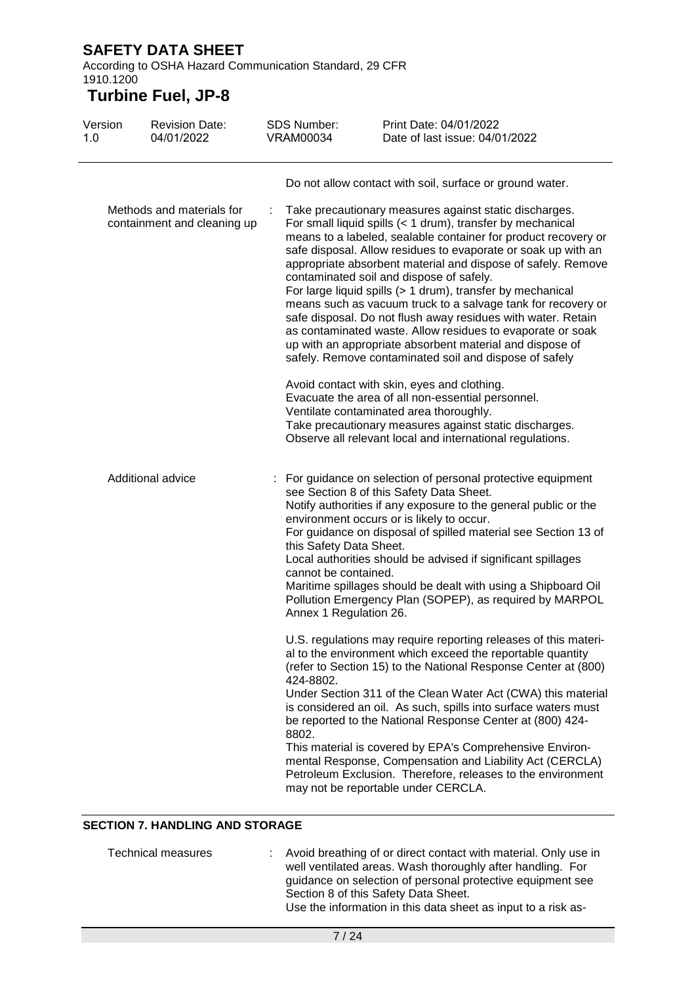According to OSHA Hazard Communication Standard, 29 CFR 1910.1200

# **Turbine Fuel, JP-8**

| Version<br>1.0                                           | <b>Revision Date:</b><br>04/01/2022 | <b>SDS Number:</b><br><b>VRAM00034</b>                                    | Print Date: 04/01/2022<br>Date of last issue: 04/01/2022                                                                                                                                                                                                                                                                                                                                                                                                                                                                                                                                                                                                                                    |
|----------------------------------------------------------|-------------------------------------|---------------------------------------------------------------------------|---------------------------------------------------------------------------------------------------------------------------------------------------------------------------------------------------------------------------------------------------------------------------------------------------------------------------------------------------------------------------------------------------------------------------------------------------------------------------------------------------------------------------------------------------------------------------------------------------------------------------------------------------------------------------------------------|
| Methods and materials for<br>containment and cleaning up |                                     | ÷                                                                         | Do not allow contact with soil, surface or ground water.<br>Take precautionary measures against static discharges.<br>For small liquid spills (< 1 drum), transfer by mechanical<br>means to a labeled, sealable container for product recovery or<br>safe disposal. Allow residues to evaporate or soak up with an<br>appropriate absorbent material and dispose of safely. Remove<br>contaminated soil and dispose of safely.<br>For large liquid spills (> 1 drum), transfer by mechanical<br>means such as vacuum truck to a salvage tank for recovery or<br>safe disposal. Do not flush away residues with water. Retain<br>as contaminated waste. Allow residues to evaporate or soak |
|                                                          |                                     |                                                                           | up with an appropriate absorbent material and dispose of<br>safely. Remove contaminated soil and dispose of safely<br>Avoid contact with skin, eyes and clothing.<br>Evacuate the area of all non-essential personnel.<br>Ventilate contaminated area thoroughly.<br>Take precautionary measures against static discharges.<br>Observe all relevant local and international regulations.                                                                                                                                                                                                                                                                                                    |
| Additional advice                                        |                                     | this Safety Data Sheet.<br>cannot be contained.<br>Annex 1 Regulation 26. | For guidance on selection of personal protective equipment<br>see Section 8 of this Safety Data Sheet.<br>Notify authorities if any exposure to the general public or the<br>environment occurs or is likely to occur.<br>For guidance on disposal of spilled material see Section 13 of<br>Local authorities should be advised if significant spillages<br>Maritime spillages should be dealt with using a Shipboard Oil<br>Pollution Emergency Plan (SOPEP), as required by MARPOL                                                                                                                                                                                                        |
|                                                          |                                     | 424-8802.<br>8802.                                                        | U.S. regulations may require reporting releases of this materi-<br>al to the environment which exceed the reportable quantity<br>(refer to Section 15) to the National Response Center at (800)<br>Under Section 311 of the Clean Water Act (CWA) this material<br>is considered an oil. As such, spills into surface waters must<br>be reported to the National Response Center at (800) 424-<br>This material is covered by EPA's Comprehensive Environ-<br>mental Response, Compensation and Liability Act (CERCLA)<br>Petroleum Exclusion. Therefore, releases to the environment<br>may not be reportable under CERCLA.                                                                |

### **SECTION 7. HANDLING AND STORAGE**

| Technical measures | : Avoid breathing of or direct contact with material. Only use in |
|--------------------|-------------------------------------------------------------------|
|                    | well ventilated areas. Wash thoroughly after handling. For        |
|                    | guidance on selection of personal protective equipment see        |
|                    | Section 8 of this Safety Data Sheet.                              |
|                    | Use the information in this data sheet as input to a risk as-     |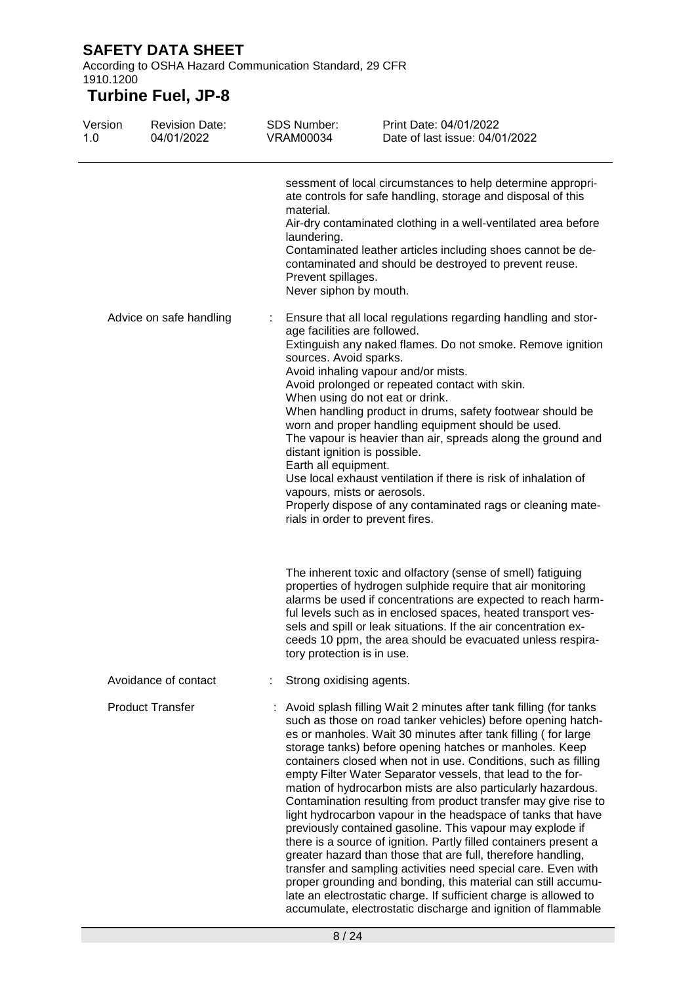According to OSHA Hazard Communication Standard, 29 CFR 1910.1200

| Version<br>1.0 | <b>Revision Date:</b><br>04/01/2022 | <b>SDS Number:</b><br><b>VRAM00034</b>                                                                                                         | Print Date: 04/01/2022<br>Date of last issue: 04/01/2022                                                                                                                                                                                                                                                                                                                                                                                                                                                                                                                                                                                                                                                                                                                                                                                                                                                                                                                                                                                                                  |
|----------------|-------------------------------------|------------------------------------------------------------------------------------------------------------------------------------------------|---------------------------------------------------------------------------------------------------------------------------------------------------------------------------------------------------------------------------------------------------------------------------------------------------------------------------------------------------------------------------------------------------------------------------------------------------------------------------------------------------------------------------------------------------------------------------------------------------------------------------------------------------------------------------------------------------------------------------------------------------------------------------------------------------------------------------------------------------------------------------------------------------------------------------------------------------------------------------------------------------------------------------------------------------------------------------|
|                |                                     | material.<br>laundering.<br>Prevent spillages.<br>Never siphon by mouth.                                                                       | sessment of local circumstances to help determine appropri-<br>ate controls for safe handling, storage and disposal of this<br>Air-dry contaminated clothing in a well-ventilated area before<br>Contaminated leather articles including shoes cannot be de-<br>contaminated and should be destroyed to prevent reuse.                                                                                                                                                                                                                                                                                                                                                                                                                                                                                                                                                                                                                                                                                                                                                    |
|                | Advice on safe handling             | age facilities are followed.<br>sources. Avoid sparks.<br>distant ignition is possible.<br>Earth all equipment.<br>vapours, mists or aerosols. | Ensure that all local regulations regarding handling and stor-<br>Extinguish any naked flames. Do not smoke. Remove ignition<br>Avoid inhaling vapour and/or mists.<br>Avoid prolonged or repeated contact with skin.<br>When using do not eat or drink.<br>When handling product in drums, safety footwear should be<br>worn and proper handling equipment should be used.<br>The vapour is heavier than air, spreads along the ground and<br>Use local exhaust ventilation if there is risk of inhalation of<br>Properly dispose of any contaminated rags or cleaning mate-<br>rials in order to prevent fires.                                                                                                                                                                                                                                                                                                                                                                                                                                                         |
|                |                                     | tory protection is in use.                                                                                                                     | The inherent toxic and olfactory (sense of smell) fatiguing<br>properties of hydrogen sulphide require that air monitoring<br>alarms be used if concentrations are expected to reach harm-<br>ful levels such as in enclosed spaces, heated transport ves-<br>sels and spill or leak situations. If the air concentration ex-<br>ceeds 10 ppm, the area should be evacuated unless respira-                                                                                                                                                                                                                                                                                                                                                                                                                                                                                                                                                                                                                                                                               |
|                | Avoidance of contact                | Strong oxidising agents.                                                                                                                       |                                                                                                                                                                                                                                                                                                                                                                                                                                                                                                                                                                                                                                                                                                                                                                                                                                                                                                                                                                                                                                                                           |
|                | <b>Product Transfer</b>             |                                                                                                                                                | Avoid splash filling Wait 2 minutes after tank filling (for tanks<br>such as those on road tanker vehicles) before opening hatch-<br>es or manholes. Wait 30 minutes after tank filling (for large<br>storage tanks) before opening hatches or manholes. Keep<br>containers closed when not in use. Conditions, such as filling<br>empty Filter Water Separator vessels, that lead to the for-<br>mation of hydrocarbon mists are also particularly hazardous.<br>Contamination resulting from product transfer may give rise to<br>light hydrocarbon vapour in the headspace of tanks that have<br>previously contained gasoline. This vapour may explode if<br>there is a source of ignition. Partly filled containers present a<br>greater hazard than those that are full, therefore handling,<br>transfer and sampling activities need special care. Even with<br>proper grounding and bonding, this material can still accumu-<br>late an electrostatic charge. If sufficient charge is allowed to<br>accumulate, electrostatic discharge and ignition of flammable |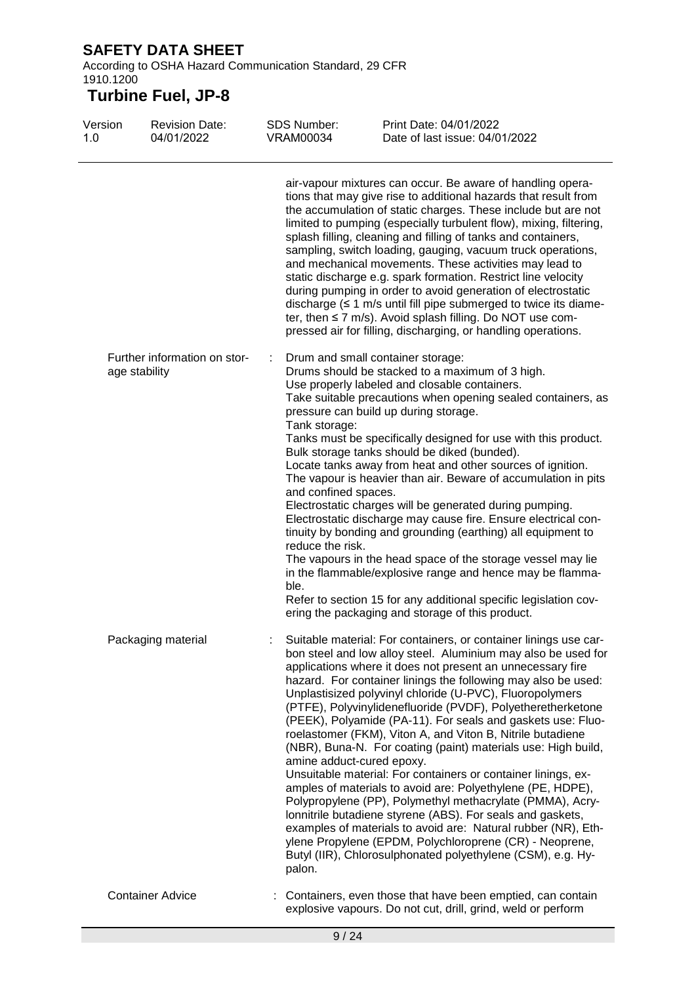According to OSHA Hazard Communication Standard, 29 CFR 1910.1200

| Version<br>1.0 | <b>Revision Date:</b><br>04/01/2022           | SDS Number:<br><b>VRAM00034</b>                                   | Print Date: 04/01/2022<br>Date of last issue: 04/01/2022                                                                                                                                                                                                                                                                                                                                                                                                                                                                                                                                                                                                                                                                                                                                                                                                                                                                                                                                                                                       |
|----------------|-----------------------------------------------|-------------------------------------------------------------------|------------------------------------------------------------------------------------------------------------------------------------------------------------------------------------------------------------------------------------------------------------------------------------------------------------------------------------------------------------------------------------------------------------------------------------------------------------------------------------------------------------------------------------------------------------------------------------------------------------------------------------------------------------------------------------------------------------------------------------------------------------------------------------------------------------------------------------------------------------------------------------------------------------------------------------------------------------------------------------------------------------------------------------------------|
|                |                                               |                                                                   | air-vapour mixtures can occur. Be aware of handling opera-<br>tions that may give rise to additional hazards that result from<br>the accumulation of static charges. These include but are not<br>limited to pumping (especially turbulent flow), mixing, filtering,<br>splash filling, cleaning and filling of tanks and containers,<br>sampling, switch loading, gauging, vacuum truck operations,<br>and mechanical movements. These activities may lead to<br>static discharge e.g. spark formation. Restrict line velocity<br>during pumping in order to avoid generation of electrostatic<br>discharge $(≤ 1$ m/s until fill pipe submerged to twice its diame-<br>ter, then ≤ 7 m/s). Avoid splash filling. Do NOT use com-<br>pressed air for filling, discharging, or handling operations.                                                                                                                                                                                                                                            |
|                | Further information on stor-<br>age stability | Tank storage:<br>and confined spaces.<br>reduce the risk.<br>ble. | Drum and small container storage:<br>Drums should be stacked to a maximum of 3 high.<br>Use properly labeled and closable containers.<br>Take suitable precautions when opening sealed containers, as<br>pressure can build up during storage.<br>Tanks must be specifically designed for use with this product.<br>Bulk storage tanks should be diked (bunded).<br>Locate tanks away from heat and other sources of ignition.<br>The vapour is heavier than air. Beware of accumulation in pits<br>Electrostatic charges will be generated during pumping.<br>Electrostatic discharge may cause fire. Ensure electrical con-<br>tinuity by bonding and grounding (earthing) all equipment to<br>The vapours in the head space of the storage vessel may lie<br>in the flammable/explosive range and hence may be flamma-<br>Refer to section 15 for any additional specific legislation cov-<br>ering the packaging and storage of this product.                                                                                              |
|                | Packaging material                            | amine adduct-cured epoxy.<br>palon.                               | Suitable material: For containers, or container linings use car-<br>bon steel and low alloy steel. Aluminium may also be used for<br>applications where it does not present an unnecessary fire<br>hazard. For container linings the following may also be used:<br>Unplastisized polyvinyl chloride (U-PVC), Fluoropolymers<br>(PTFE), Polyvinylidenefluoride (PVDF), Polyetheretherketone<br>(PEEK), Polyamide (PA-11). For seals and gaskets use: Fluo-<br>roelastomer (FKM), Viton A, and Viton B, Nitrile butadiene<br>(NBR), Buna-N. For coating (paint) materials use: High build,<br>Unsuitable material: For containers or container linings, ex-<br>amples of materials to avoid are: Polyethylene (PE, HDPE),<br>Polypropylene (PP), Polymethyl methacrylate (PMMA), Acry-<br>lonnitrile butadiene styrene (ABS). For seals and gaskets,<br>examples of materials to avoid are: Natural rubber (NR), Eth-<br>ylene Propylene (EPDM, Polychloroprene (CR) - Neoprene,<br>Butyl (IIR), Chlorosulphonated polyethylene (CSM), e.g. Hy- |
|                | <b>Container Advice</b>                       |                                                                   | Containers, even those that have been emptied, can contain<br>explosive vapours. Do not cut, drill, grind, weld or perform                                                                                                                                                                                                                                                                                                                                                                                                                                                                                                                                                                                                                                                                                                                                                                                                                                                                                                                     |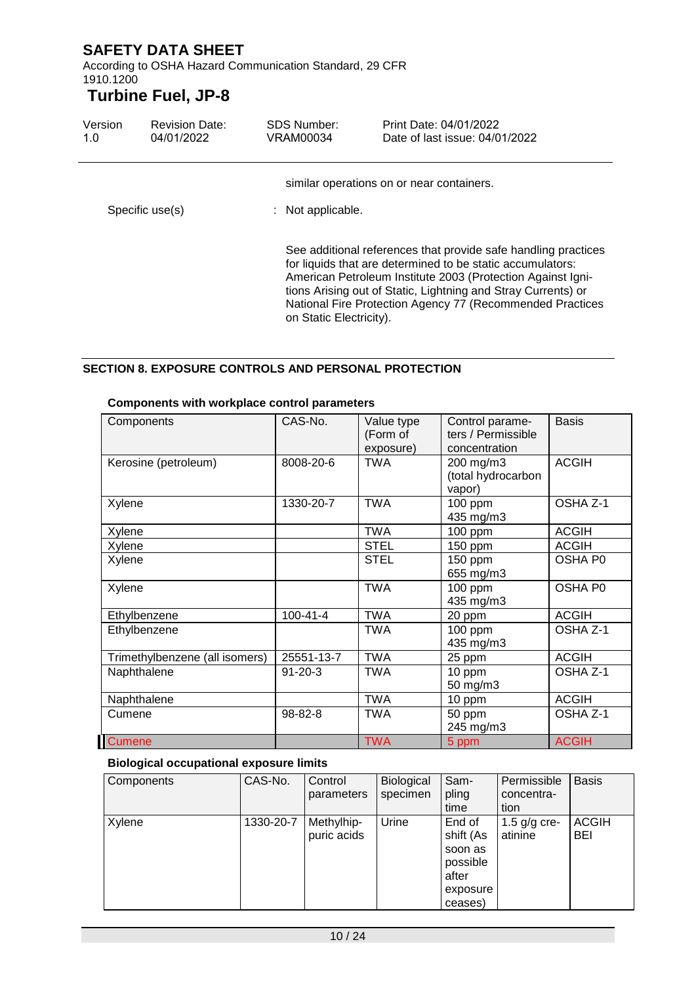According to OSHA Hazard Communication Standard, 29 CFR 1910.1200

## **Turbine Fuel, JP-8**

| Version<br>1.0  | <b>Revision Date:</b><br>04/01/2022 | <b>SDS Number:</b><br>VRAM00034                                | Print Date: 04/01/2022<br>Date of last issue: 04/01/2022                                                                                                                                                                                                                                                                  |  |
|-----------------|-------------------------------------|----------------------------------------------------------------|---------------------------------------------------------------------------------------------------------------------------------------------------------------------------------------------------------------------------------------------------------------------------------------------------------------------------|--|
| Specific use(s) |                                     | similar operations on or near containers.<br>: Not applicable. |                                                                                                                                                                                                                                                                                                                           |  |
|                 |                                     | on Static Electricity).                                        | See additional references that provide safe handling practices<br>for liquids that are determined to be static accumulators:<br>American Petroleum Institute 2003 (Protection Against Igni-<br>tions Arising out of Static, Lightning and Stray Currents) or<br>National Fire Protection Agency 77 (Recommended Practices |  |

#### **SECTION 8. EXPOSURE CONTROLS AND PERSONAL PROTECTION**

| Components                     | CAS-No.        | Value type<br>(Form of<br>exposure) | Control parame-<br>ters / Permissible<br>concentration | <b>Basis</b> |
|--------------------------------|----------------|-------------------------------------|--------------------------------------------------------|--------------|
| Kerosine (petroleum)           | 8008-20-6      | TWA                                 | 200 mg/m3<br>(total hydrocarbon<br>vapor)              | <b>ACGIH</b> |
| Xylene                         | 1330-20-7      | <b>TWA</b>                          | 100 ppm<br>435 mg/m3                                   | OSHA Z-1     |
| Xylene                         |                | <b>TWA</b>                          | 100 ppm                                                | <b>ACGIH</b> |
| Xylene                         |                | <b>STEL</b>                         | 150 ppm                                                | <b>ACGIH</b> |
| Xylene                         |                | <b>STEL</b>                         | 150 ppm<br>655 mg/m3                                   | OSHA P0      |
| Xylene                         |                | <b>TWA</b>                          | 100 ppm<br>435 mg/m3                                   | OSHA P0      |
| Ethylbenzene                   | $100 - 41 - 4$ | <b>TWA</b>                          | 20 ppm                                                 | <b>ACGIH</b> |
| Ethylbenzene                   |                | TWA                                 | 100 ppm<br>435 mg/m3                                   | OSHA Z-1     |
| Trimethylbenzene (all isomers) | 25551-13-7     | <b>TWA</b>                          | 25 ppm                                                 | <b>ACGIH</b> |
| Naphthalene                    | $91 - 20 - 3$  | <b>TWA</b>                          | 10 ppm<br>50 mg/m3                                     | OSHA Z-1     |
| Naphthalene                    |                | <b>TWA</b>                          | 10 ppm                                                 | <b>ACGIH</b> |
| Cumene                         | 98-82-8        | <b>TWA</b>                          | 50 ppm<br>245 mg/m3                                    | OSHA Z-1     |
| <b>Cumene</b>                  |                | <b>TWA</b>                          | 5 ppm                                                  | <b>ACGIH</b> |

#### **Components with workplace control parameters**

#### **Biological occupational exposure limits**

| Components | CAS-No.   | Control<br>parameters     | Biological<br>specimen | Sam-<br>pling<br>time                                                      | Permissible<br>concentra-<br>tion | <b>Basis</b>               |
|------------|-----------|---------------------------|------------------------|----------------------------------------------------------------------------|-----------------------------------|----------------------------|
| Xylene     | 1330-20-7 | Methylhip-<br>puric acids | Urine                  | End of<br>shift (As<br>soon as<br>possible<br>after<br>exposure<br>ceases) | 1.5 $g/g$ cre-<br>atinine         | <b>ACGIH</b><br><b>BEI</b> |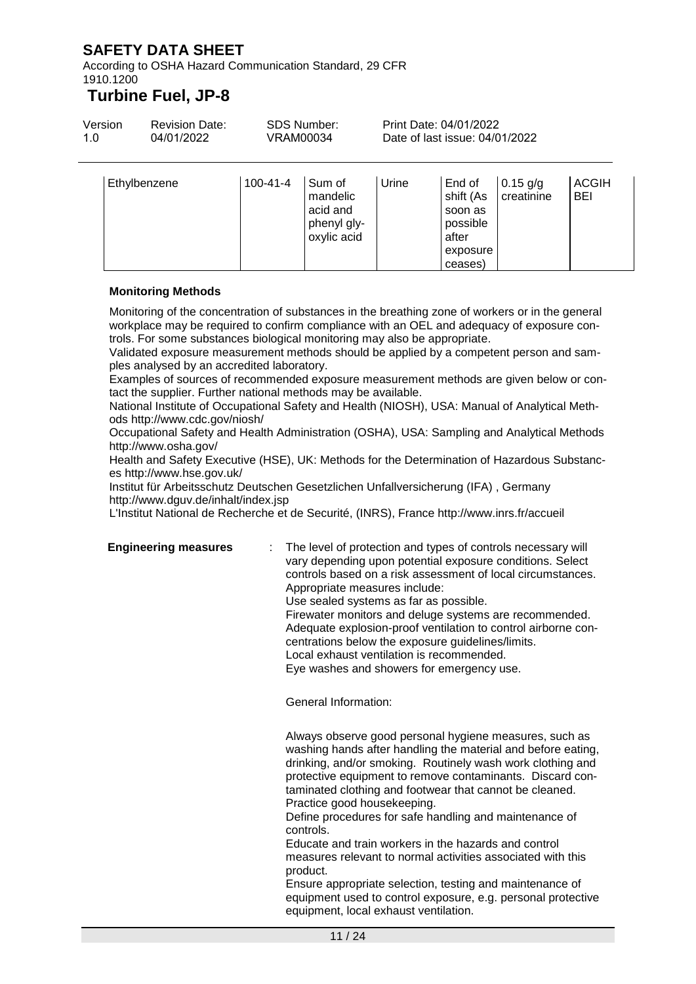According to OSHA Hazard Communication Standard, 29 CFR 1910.1200

### **Turbine Fuel, JP-8**

| Version<br>1.0 | <b>Revision Date:</b><br>04/01/2022 |                | SDS Number:<br>VRAM00034                      |       | Print Date: 04/01/2022<br>Date of last issue: 04/01/2022 |                          |                            |
|----------------|-------------------------------------|----------------|-----------------------------------------------|-------|----------------------------------------------------------|--------------------------|----------------------------|
|                | Ethylbenzene                        | $100 - 41 - 4$ | Sum of<br>mandelic<br>acid and<br>phenyl gly- | Urine | End of<br>shift (As<br>soon as<br>possible               | $0.15$ g/g<br>creatinine | <b>ACGIH</b><br><b>BEI</b> |

oxylic acid

#### **Monitoring Methods**

Monitoring of the concentration of substances in the breathing zone of workers or in the general workplace may be required to confirm compliance with an OEL and adequacy of exposure controls. For some substances biological monitoring may also be appropriate.

Validated exposure measurement methods should be applied by a competent person and samples analysed by an accredited laboratory.

Examples of sources of recommended exposure measurement methods are given below or contact the supplier. Further national methods may be available.

National Institute of Occupational Safety and Health (NIOSH), USA: Manual of Analytical Methods http://www.cdc.gov/niosh/

Occupational Safety and Health Administration (OSHA), USA: Sampling and Analytical Methods http://www.osha.gov/

Health and Safety Executive (HSE), UK: Methods for the Determination of Hazardous Substances http://www.hse.gov.uk/

Institut für Arbeitsschutz Deutschen Gesetzlichen Unfallversicherung (IFA) , Germany http://www.dguv.de/inhalt/index.jsp

L'Institut National de Recherche et de Securité, (INRS), France http://www.inrs.fr/accueil

**Engineering measures** : The level of protection and types of controls necessary will vary depending upon potential exposure conditions. Select controls based on a risk assessment of local circumstances. Appropriate measures include: Use sealed systems as far as possible. Firewater monitors and deluge systems are recommended. Adequate explosion-proof ventilation to control airborne con-

after exposure ceases)

centrations below the exposure guidelines/limits.

Local exhaust ventilation is recommended.

Eye washes and showers for emergency use.

General Information:

Always observe good personal hygiene measures, such as washing hands after handling the material and before eating, drinking, and/or smoking. Routinely wash work clothing and protective equipment to remove contaminants. Discard contaminated clothing and footwear that cannot be cleaned. Practice good housekeeping.

Define procedures for safe handling and maintenance of controls.

Educate and train workers in the hazards and control measures relevant to normal activities associated with this product.

Ensure appropriate selection, testing and maintenance of equipment used to control exposure, e.g. personal protective equipment, local exhaust ventilation.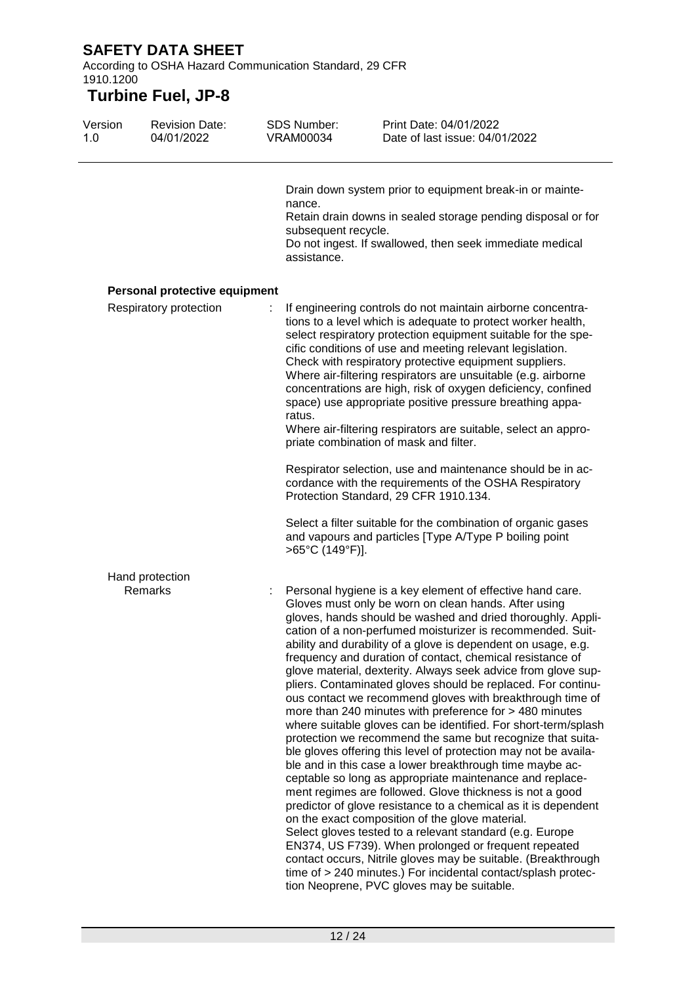According to OSHA Hazard Communication Standard, 29 CFR 1910.1200

| Version<br>1.0 | <b>Revision Date:</b><br>04/01/2022 | <b>SDS Number:</b><br><b>VRAM00034</b>       | Print Date: 04/01/2022<br>Date of last issue: 04/01/2022                                                                                                                                                                                                                                                                                                                                                                                                                                                                                                                                                                                                                                                                                                                                                                                                                                                                                                                                                                                                                                                                                                                                                                                                                                                                                                                                                                                              |
|----------------|-------------------------------------|----------------------------------------------|-------------------------------------------------------------------------------------------------------------------------------------------------------------------------------------------------------------------------------------------------------------------------------------------------------------------------------------------------------------------------------------------------------------------------------------------------------------------------------------------------------------------------------------------------------------------------------------------------------------------------------------------------------------------------------------------------------------------------------------------------------------------------------------------------------------------------------------------------------------------------------------------------------------------------------------------------------------------------------------------------------------------------------------------------------------------------------------------------------------------------------------------------------------------------------------------------------------------------------------------------------------------------------------------------------------------------------------------------------------------------------------------------------------------------------------------------------|
|                |                                     | nance.<br>subsequent recycle.<br>assistance. | Drain down system prior to equipment break-in or mainte-<br>Retain drain downs in sealed storage pending disposal or for<br>Do not ingest. If swallowed, then seek immediate medical                                                                                                                                                                                                                                                                                                                                                                                                                                                                                                                                                                                                                                                                                                                                                                                                                                                                                                                                                                                                                                                                                                                                                                                                                                                                  |
|                | Personal protective equipment       |                                              |                                                                                                                                                                                                                                                                                                                                                                                                                                                                                                                                                                                                                                                                                                                                                                                                                                                                                                                                                                                                                                                                                                                                                                                                                                                                                                                                                                                                                                                       |
|                | Respiratory protection              | ratus.                                       | If engineering controls do not maintain airborne concentra-<br>tions to a level which is adequate to protect worker health,<br>select respiratory protection equipment suitable for the spe-<br>cific conditions of use and meeting relevant legislation.<br>Check with respiratory protective equipment suppliers.<br>Where air-filtering respirators are unsuitable (e.g. airborne<br>concentrations are high, risk of oxygen deficiency, confined<br>space) use appropriate positive pressure breathing appa-<br>Where air-filtering respirators are suitable, select an appro-<br>priate combination of mask and filter.                                                                                                                                                                                                                                                                                                                                                                                                                                                                                                                                                                                                                                                                                                                                                                                                                          |
|                |                                     |                                              | Respirator selection, use and maintenance should be in ac-<br>cordance with the requirements of the OSHA Respiratory<br>Protection Standard, 29 CFR 1910.134.                                                                                                                                                                                                                                                                                                                                                                                                                                                                                                                                                                                                                                                                                                                                                                                                                                                                                                                                                                                                                                                                                                                                                                                                                                                                                         |
|                |                                     | >65°C (149°F)].                              | Select a filter suitable for the combination of organic gases<br>and vapours and particles [Type A/Type P boiling point                                                                                                                                                                                                                                                                                                                                                                                                                                                                                                                                                                                                                                                                                                                                                                                                                                                                                                                                                                                                                                                                                                                                                                                                                                                                                                                               |
|                | Hand protection                     |                                              |                                                                                                                                                                                                                                                                                                                                                                                                                                                                                                                                                                                                                                                                                                                                                                                                                                                                                                                                                                                                                                                                                                                                                                                                                                                                                                                                                                                                                                                       |
|                | Remarks                             |                                              | Personal hygiene is a key element of effective hand care.<br>Gloves must only be worn on clean hands. After using<br>gloves, hands should be washed and dried thoroughly. Appli-<br>cation of a non-perfumed moisturizer is recommended. Suit-<br>ability and durability of a glove is dependent on usage, e.g.<br>frequency and duration of contact, chemical resistance of<br>glove material, dexterity. Always seek advice from glove sup-<br>pliers. Contaminated gloves should be replaced. For continu-<br>ous contact we recommend gloves with breakthrough time of<br>more than 240 minutes with preference for > 480 minutes<br>where suitable gloves can be identified. For short-term/splash<br>protection we recommend the same but recognize that suita-<br>ble gloves offering this level of protection may not be availa-<br>ble and in this case a lower breakthrough time maybe ac-<br>ceptable so long as appropriate maintenance and replace-<br>ment regimes are followed. Glove thickness is not a good<br>predictor of glove resistance to a chemical as it is dependent<br>on the exact composition of the glove material.<br>Select gloves tested to a relevant standard (e.g. Europe<br>EN374, US F739). When prolonged or frequent repeated<br>contact occurs, Nitrile gloves may be suitable. (Breakthrough<br>time of > 240 minutes.) For incidental contact/splash protec-<br>tion Neoprene, PVC gloves may be suitable. |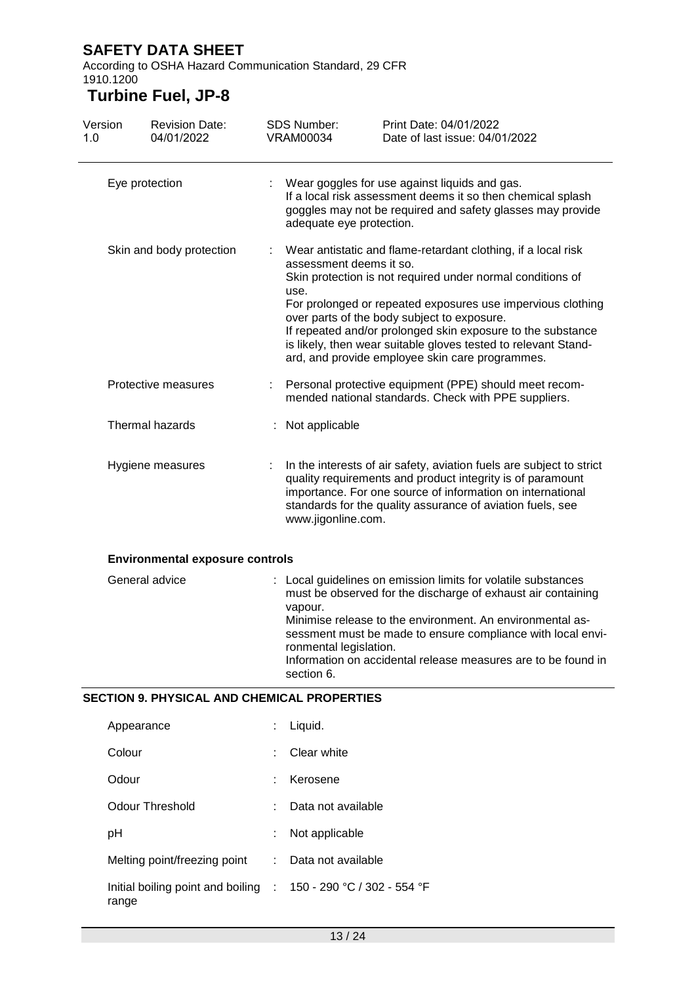According to OSHA Hazard Communication Standard, 29 CFR 1910.1200

| Version<br>1.0 | <b>Revision Date:</b><br>04/01/2022                | <b>SDS Number:</b><br><b>VRAM00034</b>          | Print Date: 04/01/2022<br>Date of last issue: 04/01/2022                                                                                                                                                                                                                                                                                                                                                                                                 |  |  |
|----------------|----------------------------------------------------|-------------------------------------------------|----------------------------------------------------------------------------------------------------------------------------------------------------------------------------------------------------------------------------------------------------------------------------------------------------------------------------------------------------------------------------------------------------------------------------------------------------------|--|--|
|                | Eye protection                                     |                                                 | Wear goggles for use against liquids and gas.<br>If a local risk assessment deems it so then chemical splash<br>goggles may not be required and safety glasses may provide<br>adequate eye protection.                                                                                                                                                                                                                                                   |  |  |
|                | Skin and body protection                           |                                                 | Wear antistatic and flame-retardant clothing, if a local risk<br>assessment deems it so.<br>Skin protection is not required under normal conditions of<br>For prolonged or repeated exposures use impervious clothing<br>over parts of the body subject to exposure.<br>If repeated and/or prolonged skin exposure to the substance<br>is likely, then wear suitable gloves tested to relevant Stand-<br>ard, and provide employee skin care programmes. |  |  |
|                | Protective measures                                |                                                 | Personal protective equipment (PPE) should meet recom-<br>mended national standards. Check with PPE suppliers.                                                                                                                                                                                                                                                                                                                                           |  |  |
|                | Thermal hazards                                    |                                                 | Not applicable                                                                                                                                                                                                                                                                                                                                                                                                                                           |  |  |
|                | Hygiene measures                                   | www.jigonline.com.                              | In the interests of air safety, aviation fuels are subject to strict<br>quality requirements and product integrity is of paramount<br>importance. For one source of information on international<br>standards for the quality assurance of aviation fuels, see                                                                                                                                                                                           |  |  |
|                | <b>Environmental exposure controls</b>             |                                                 |                                                                                                                                                                                                                                                                                                                                                                                                                                                          |  |  |
| General advice |                                                    | vapour.<br>ronmental legislation.<br>section 6. | : Local guidelines on emission limits for volatile substances<br>must be observed for the discharge of exhaust air containing<br>Minimise release to the environment. An environmental as-<br>sessment must be made to ensure compliance with local envi-<br>Information on accidental release measures are to be found in                                                                                                                               |  |  |
|                | <b>SECTION 9. PHYSICAL AND CHEMICAL PROPERTIES</b> |                                                 |                                                                                                                                                                                                                                                                                                                                                                                                                                                          |  |  |
|                | Appearance                                         | Liquid.                                         |                                                                                                                                                                                                                                                                                                                                                                                                                                                          |  |  |
|                |                                                    |                                                 |                                                                                                                                                                                                                                                                                                                                                                                                                                                          |  |  |

| Colour                                                                   |    | Clear white        |
|--------------------------------------------------------------------------|----|--------------------|
| Odour                                                                    |    | Kerosene           |
| Odour Threshold                                                          |    | Data not available |
| рH                                                                       |    | Not applicable     |
| Melting point/freezing point                                             | t. | Data not available |
| Initial boiling point and boiling : 150 - 290 °C / 302 - 554 °F<br>range |    |                    |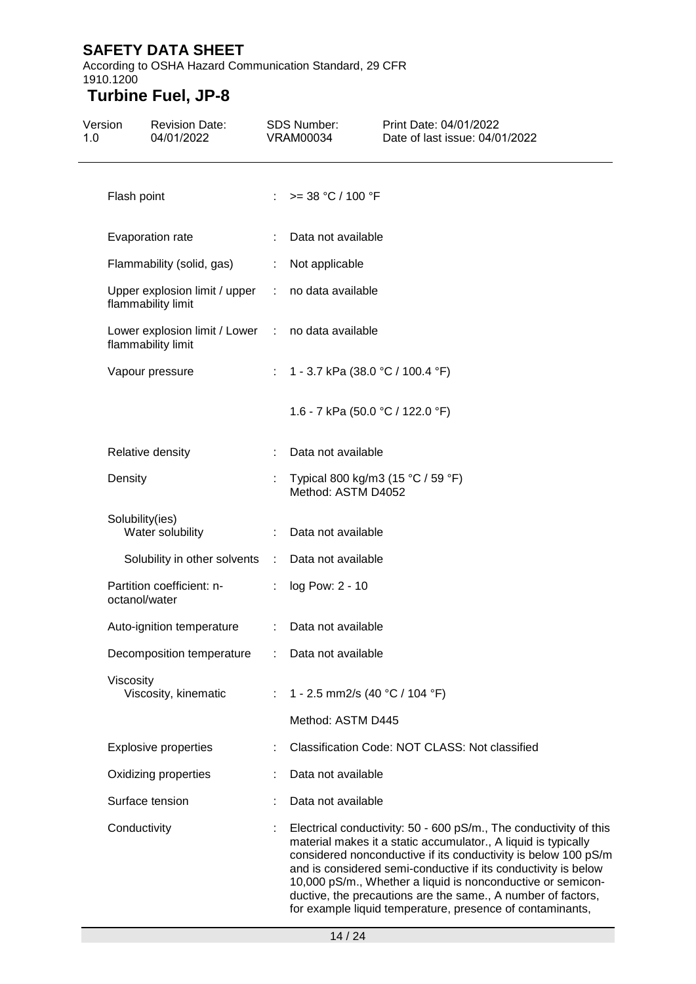According to OSHA Hazard Communication Standard, 29 CFR 1910.1200

| Version<br>1.0 | <b>Revision Date:</b><br>04/01/2022                                     |               | <b>SDS Number:</b><br>VRAM00034                         | Print Date: 04/01/2022<br>Date of last issue: 04/01/2022                                                                                                                                                                                                                                                                                                                                                                                                            |  |
|----------------|-------------------------------------------------------------------------|---------------|---------------------------------------------------------|---------------------------------------------------------------------------------------------------------------------------------------------------------------------------------------------------------------------------------------------------------------------------------------------------------------------------------------------------------------------------------------------------------------------------------------------------------------------|--|
|                | Flash point                                                             |               | : $> = 38 °C / 100 °F$                                  |                                                                                                                                                                                                                                                                                                                                                                                                                                                                     |  |
|                | Evaporation rate                                                        |               | Data not available                                      |                                                                                                                                                                                                                                                                                                                                                                                                                                                                     |  |
|                | Flammability (solid, gas)                                               | t.            | Not applicable                                          |                                                                                                                                                                                                                                                                                                                                                                                                                                                                     |  |
|                | Upper explosion limit / upper<br>flammability limit                     | $\mathcal{L}$ | no data available                                       |                                                                                                                                                                                                                                                                                                                                                                                                                                                                     |  |
|                | Lower explosion limit / Lower : no data available<br>flammability limit |               |                                                         |                                                                                                                                                                                                                                                                                                                                                                                                                                                                     |  |
|                | Vapour pressure                                                         |               | : 1 - 3.7 kPa (38.0 °C / 100.4 °F)                      |                                                                                                                                                                                                                                                                                                                                                                                                                                                                     |  |
|                |                                                                         |               | 1.6 - 7 kPa (50.0 °C / 122.0 °F)                        |                                                                                                                                                                                                                                                                                                                                                                                                                                                                     |  |
|                | Relative density                                                        |               | Data not available                                      |                                                                                                                                                                                                                                                                                                                                                                                                                                                                     |  |
|                | Density                                                                 |               | Typical 800 kg/m3 (15 °C / 59 °F)<br>Method: ASTM D4052 |                                                                                                                                                                                                                                                                                                                                                                                                                                                                     |  |
|                | Solubility(ies)<br>Water solubility                                     |               | Data not available                                      |                                                                                                                                                                                                                                                                                                                                                                                                                                                                     |  |
|                | Solubility in other solvents :                                          |               | Data not available                                      |                                                                                                                                                                                                                                                                                                                                                                                                                                                                     |  |
|                | Partition coefficient: n-<br>octanol/water                              |               | log Pow: 2 - 10                                         |                                                                                                                                                                                                                                                                                                                                                                                                                                                                     |  |
|                | Auto-ignition temperature                                               | ÷             | Data not available                                      |                                                                                                                                                                                                                                                                                                                                                                                                                                                                     |  |
|                | Decomposition temperature                                               |               | Data not available                                      |                                                                                                                                                                                                                                                                                                                                                                                                                                                                     |  |
|                | Viscosity                                                               |               |                                                         |                                                                                                                                                                                                                                                                                                                                                                                                                                                                     |  |
|                | Viscosity, kinematic                                                    |               | 1 - 2.5 mm2/s (40 °C / 104 °F)                          |                                                                                                                                                                                                                                                                                                                                                                                                                                                                     |  |
|                |                                                                         |               | Method: ASTM D445                                       |                                                                                                                                                                                                                                                                                                                                                                                                                                                                     |  |
|                | <b>Explosive properties</b>                                             |               |                                                         | Classification Code: NOT CLASS: Not classified                                                                                                                                                                                                                                                                                                                                                                                                                      |  |
|                | Oxidizing properties                                                    |               | Data not available                                      |                                                                                                                                                                                                                                                                                                                                                                                                                                                                     |  |
|                | Surface tension                                                         |               | Data not available                                      |                                                                                                                                                                                                                                                                                                                                                                                                                                                                     |  |
|                | Conductivity                                                            |               |                                                         | Electrical conductivity: 50 - 600 pS/m., The conductivity of this<br>material makes it a static accumulator., A liquid is typically<br>considered nonconductive if its conductivity is below 100 pS/m<br>and is considered semi-conductive if its conductivity is below<br>10,000 pS/m., Whether a liquid is nonconductive or semicon-<br>ductive, the precautions are the same., A number of factors,<br>for example liquid temperature, presence of contaminants, |  |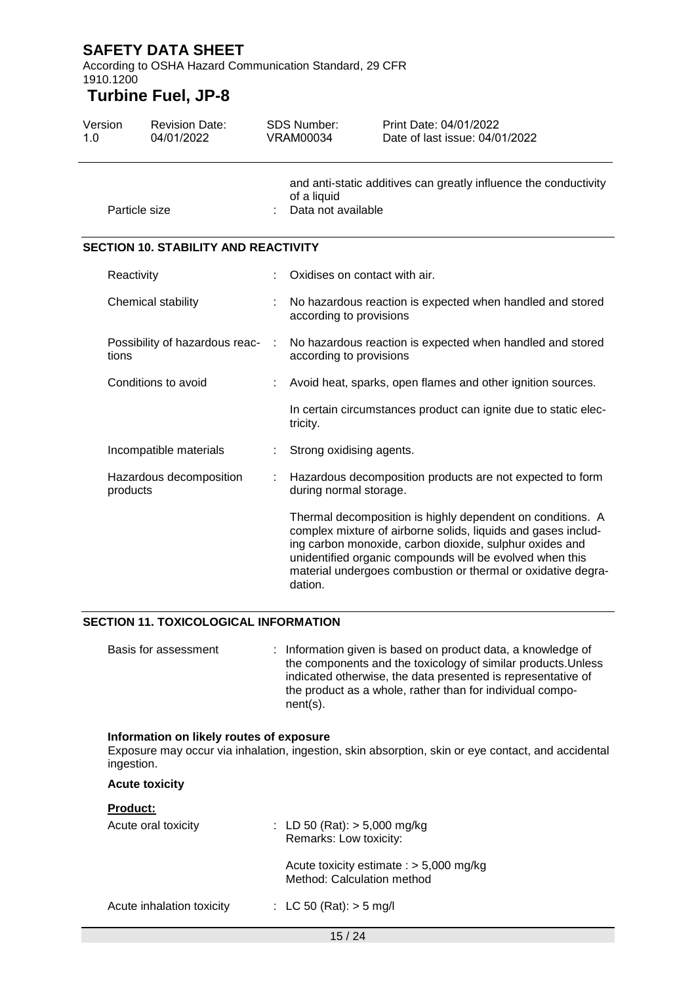According to OSHA Hazard Communication Standard, 29 CFR 1910.1200

### **Turbine Fuel, JP-8**

| Version<br>1.0 |               | <b>Revision Date:</b><br>04/01/2022         |   | <b>SDS Number:</b><br>VRAM00034                                                                       | Print Date: 04/01/2022<br>Date of last issue: 04/01/2022                                                                                                                                                                                                                                                           |
|----------------|---------------|---------------------------------------------|---|-------------------------------------------------------------------------------------------------------|--------------------------------------------------------------------------------------------------------------------------------------------------------------------------------------------------------------------------------------------------------------------------------------------------------------------|
|                | Particle size |                                             |   | and anti-static additives can greatly influence the conductivity<br>of a liquid<br>Data not available |                                                                                                                                                                                                                                                                                                                    |
|                |               | <b>SECTION 10. STABILITY AND REACTIVITY</b> |   |                                                                                                       |                                                                                                                                                                                                                                                                                                                    |
|                | Reactivity    |                                             |   | Oxidises on contact with air.                                                                         |                                                                                                                                                                                                                                                                                                                    |
|                |               | Chemical stability                          |   | No hazardous reaction is expected when handled and stored<br>according to provisions                  |                                                                                                                                                                                                                                                                                                                    |
|                | tions         | Possibility of hazardous reac-              | ÷ | No hazardous reaction is expected when handled and stored<br>according to provisions                  |                                                                                                                                                                                                                                                                                                                    |
|                |               | Conditions to avoid                         |   | Avoid heat, sparks, open flames and other ignition sources.                                           |                                                                                                                                                                                                                                                                                                                    |
|                |               |                                             |   | tricity.                                                                                              | In certain circumstances product can ignite due to static elec-                                                                                                                                                                                                                                                    |
|                |               | Incompatible materials                      |   | Strong oxidising agents.                                                                              |                                                                                                                                                                                                                                                                                                                    |
|                | products      | Hazardous decomposition                     |   | Hazardous decomposition products are not expected to form<br>during normal storage.                   |                                                                                                                                                                                                                                                                                                                    |
|                |               |                                             |   | dation.                                                                                               | Thermal decomposition is highly dependent on conditions. A<br>complex mixture of airborne solids, liquids and gases includ-<br>ing carbon monoxide, carbon dioxide, sulphur oxides and<br>unidentified organic compounds will be evolved when this<br>material undergoes combustion or thermal or oxidative degra- |

#### **SECTION 11. TOXICOLOGICAL INFORMATION**

Basis for assessment : Information given is based on product data, a knowledge of the components and the toxicology of similar products.Unless indicated otherwise, the data presented is representative of the product as a whole, rather than for individual component(s).

#### **Information on likely routes of exposure**

Exposure may occur via inhalation, ingestion, skin absorption, skin or eye contact, and accidental ingestion.

#### **Acute toxicity**

#### **Product:**

| Acute oral toxicity       |  | : LD 50 (Rat): $> 5,000$ mg/kg<br>Remarks: Low toxicity:                |
|---------------------------|--|-------------------------------------------------------------------------|
|                           |  | Acute toxicity estimate : $> 5,000$ mg/kg<br>Method: Calculation method |
| Acute inhalation toxicity |  | : LC 50 (Rat): $>$ 5 mg/l                                               |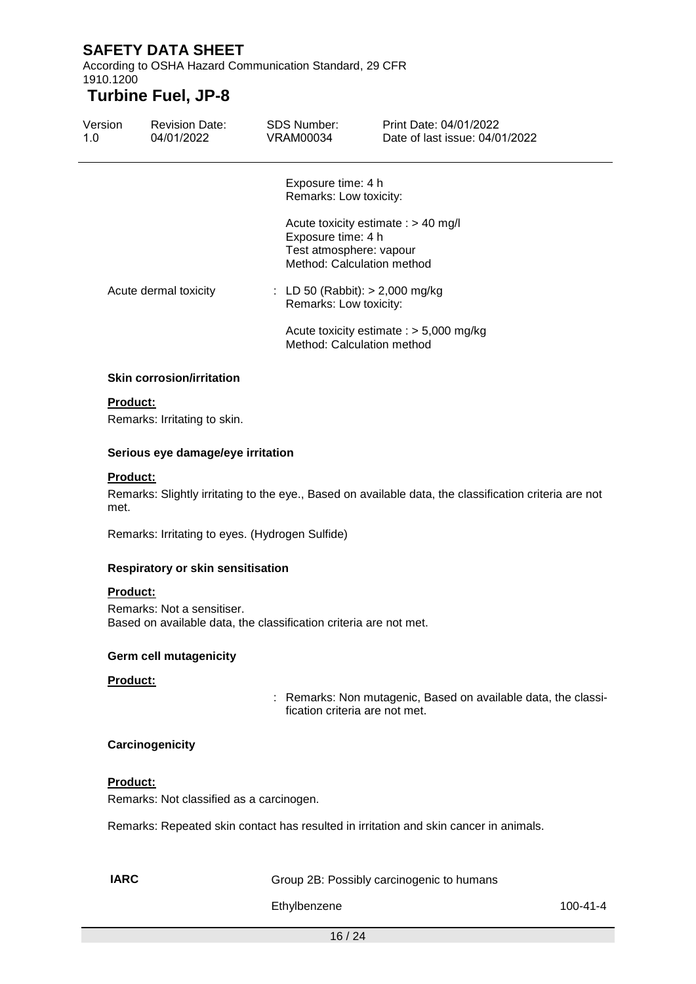According to OSHA Hazard Communication Standard, 29 CFR 1910.1200

### **Turbine Fuel, JP-8**

| Version<br>1.0        | <b>Revision Date:</b><br>04/01/2022 | SDS Number:<br>VRAM00034                                                                                                                                                                   | Print Date: 04/01/2022<br>Date of last issue: 04/01/2022                         |  |
|-----------------------|-------------------------------------|--------------------------------------------------------------------------------------------------------------------------------------------------------------------------------------------|----------------------------------------------------------------------------------|--|
| Acute dermal toxicity |                                     | Exposure time: 4 h<br>Remarks: Low toxicity:<br>Exposure time: 4 h<br>Test atmosphere: vapour<br>Method: Calculation method<br>: LD 50 (Rabbit): $> 2,000$ mg/kg<br>Remarks: Low toxicity: | Acute toxicity estimate : > 40 mg/l<br>Acute toxicity estimate : $> 5,000$ mg/kg |  |
|                       | <b>Skin corrosion/irritation</b>    | Method: Calculation method                                                                                                                                                                 |                                                                                  |  |
| <b>Product:</b>       |                                     |                                                                                                                                                                                            |                                                                                  |  |
|                       | Remarks: Irritating to skin.        |                                                                                                                                                                                            |                                                                                  |  |
|                       | Serious eye damage/eye irritation   |                                                                                                                                                                                            |                                                                                  |  |

#### **Product:**

Remarks: Slightly irritating to the eye., Based on available data, the classification criteria are not met.

Remarks: Irritating to eyes. (Hydrogen Sulfide)

#### **Respiratory or skin sensitisation**

#### **Product:**

Remarks: Not a sensitiser. Based on available data, the classification criteria are not met.

#### **Germ cell mutagenicity**

#### **Product:**

: Remarks: Non mutagenic, Based on available data, the classification criteria are not met.

#### **Carcinogenicity**

#### **Product:**

Remarks: Not classified as a carcinogen.

Remarks: Repeated skin contact has resulted in irritation and skin cancer in animals.

**IARC** Group 2B: Possibly carcinogenic to humans

Ethylbenzene 100-41-4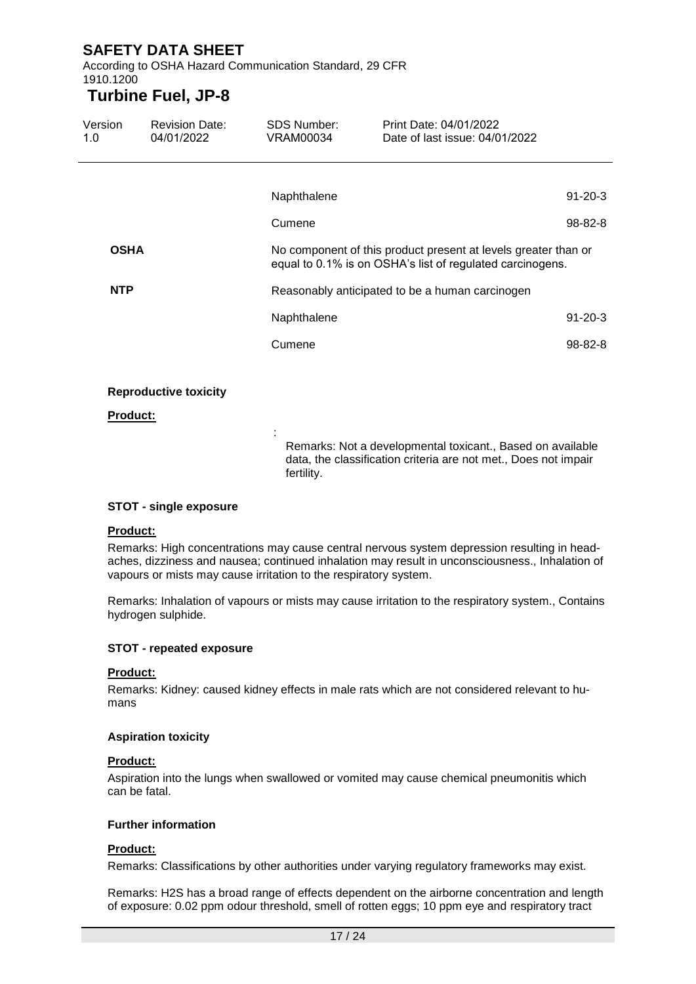According to OSHA Hazard Communication Standard, 29 CFR 1910.1200

:

### **Turbine Fuel, JP-8**

| Version<br>1.0 | <b>Revision Date:</b><br>04/01/2022 | <b>SDS Number:</b><br>VRAM00034 | Print Date: 04/01/2022<br>Date of last issue: 04/01/2022                                                                    |               |
|----------------|-------------------------------------|---------------------------------|-----------------------------------------------------------------------------------------------------------------------------|---------------|
|                |                                     |                                 |                                                                                                                             |               |
|                |                                     | Naphthalene                     |                                                                                                                             | $91 - 20 - 3$ |
|                |                                     | Cumene                          |                                                                                                                             | $98 - 82 - 8$ |
| <b>OSHA</b>    |                                     |                                 | No component of this product present at levels greater than or<br>equal to 0.1% is on OSHA's list of regulated carcinogens. |               |
| <b>NTP</b>     |                                     |                                 | Reasonably anticipated to be a human carcinogen                                                                             |               |
|                |                                     | Naphthalene                     |                                                                                                                             | $91 - 20 - 3$ |
|                |                                     | Cumene                          |                                                                                                                             | $98 - 82 - 8$ |
|                |                                     |                                 |                                                                                                                             |               |

#### **Reproductive toxicity**

#### **Product:**

Remarks: Not a developmental toxicant., Based on available data, the classification criteria are not met., Does not impair fertility.

#### **STOT - single exposure**

#### **Product:**

Remarks: High concentrations may cause central nervous system depression resulting in headaches, dizziness and nausea; continued inhalation may result in unconsciousness., Inhalation of vapours or mists may cause irritation to the respiratory system.

Remarks: Inhalation of vapours or mists may cause irritation to the respiratory system., Contains hydrogen sulphide.

#### **STOT - repeated exposure**

#### **Product:**

Remarks: Kidney: caused kidney effects in male rats which are not considered relevant to humans

#### **Aspiration toxicity**

#### **Product:**

Aspiration into the lungs when swallowed or vomited may cause chemical pneumonitis which can be fatal.

#### **Further information**

#### **Product:**

Remarks: Classifications by other authorities under varying regulatory frameworks may exist.

Remarks: H2S has a broad range of effects dependent on the airborne concentration and length of exposure: 0.02 ppm odour threshold, smell of rotten eggs; 10 ppm eye and respiratory tract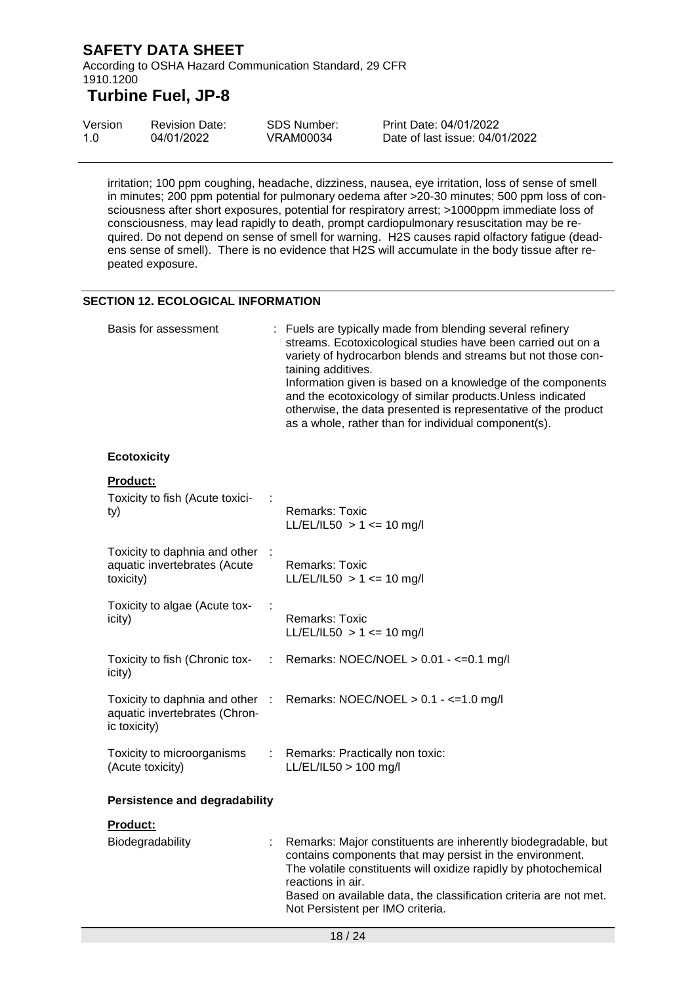According to OSHA Hazard Communication Standard, 29 CFR 1910.1200

# **Turbine Fuel, JP-8**

| Version | <b>Revision Date:</b> | SDS Number: | Print Date: 04/01/2022         |
|---------|-----------------------|-------------|--------------------------------|
| 1.0     | 04/01/2022            | VRAM00034   | Date of last issue: 04/01/2022 |

irritation; 100 ppm coughing, headache, dizziness, nausea, eye irritation, loss of sense of smell in minutes; 200 ppm potential for pulmonary oedema after >20-30 minutes; 500 ppm loss of consciousness after short exposures, potential for respiratory arrest; >1000ppm immediate loss of consciousness, may lead rapidly to death, prompt cardiopulmonary resuscitation may be required. Do not depend on sense of smell for warning. H2S causes rapid olfactory fatigue (deadens sense of smell). There is no evidence that H2S will accumulate in the body tissue after repeated exposure.

#### **SECTION 12. ECOLOGICAL INFORMATION**

| Basis for assessment                                                           |                | : Fuels are typically made from blending several refinery<br>streams. Ecotoxicological studies have been carried out on a<br>variety of hydrocarbon blends and streams but not those con-<br>taining additives.<br>Information given is based on a knowledge of the components<br>and the ecotoxicology of similar products. Unless indicated<br>otherwise, the data presented is representative of the product<br>as a whole, rather than for individual component(s). |  |
|--------------------------------------------------------------------------------|----------------|-------------------------------------------------------------------------------------------------------------------------------------------------------------------------------------------------------------------------------------------------------------------------------------------------------------------------------------------------------------------------------------------------------------------------------------------------------------------------|--|
| <b>Ecotoxicity</b>                                                             |                |                                                                                                                                                                                                                                                                                                                                                                                                                                                                         |  |
| <b>Product:</b><br>Toxicity to fish (Acute toxici-<br>ty)                      |                | Remarks: Toxic<br>$LL/EL/IL50 > 1 \le 10$ mg/l                                                                                                                                                                                                                                                                                                                                                                                                                          |  |
| Toxicity to daphnia and other<br>aquatic invertebrates (Acute<br>toxicity)     |                | <b>Remarks: Toxic</b><br>$LL/EL/IL50 > 1 \le 10$ mg/l                                                                                                                                                                                                                                                                                                                                                                                                                   |  |
| Toxicity to algae (Acute tox-<br>icity)                                        |                | <b>Remarks: Toxic</b><br>$LL/EL/IL50 > 1 \le 10$ mg/l                                                                                                                                                                                                                                                                                                                                                                                                                   |  |
| Toxicity to fish (Chronic tox-<br>icity)                                       | ÷              | Remarks: NOEC/NOEL > 0.01 - <= 0.1 mg/l                                                                                                                                                                                                                                                                                                                                                                                                                                 |  |
| Toxicity to daphnia and other<br>aquatic invertebrates (Chron-<br>ic toxicity) | $\mathbb{R}^2$ | Remarks: NOEC/NOEL $> 0.1 - \le 1.0$ mg/l                                                                                                                                                                                                                                                                                                                                                                                                                               |  |
| Toxicity to microorganisms<br>(Acute toxicity)                                 | ÷.             | Remarks: Practically non toxic:<br>LL/EL/IL50 > 100 mg/l                                                                                                                                                                                                                                                                                                                                                                                                                |  |
| <b>Persistence and degradability</b>                                           |                |                                                                                                                                                                                                                                                                                                                                                                                                                                                                         |  |
| <b>Product:</b>                                                                |                |                                                                                                                                                                                                                                                                                                                                                                                                                                                                         |  |
| Biodegradability                                                               |                | Remarks: Major constituents are inherently biodegradable, but<br>contains components that may persist in the environment.<br>The volatile constituents will oxidize rapidly by photochemical<br>reactions in air.<br>Based on available data, the classification criteria are not met.<br>Not Persistent per IMO criteria.                                                                                                                                              |  |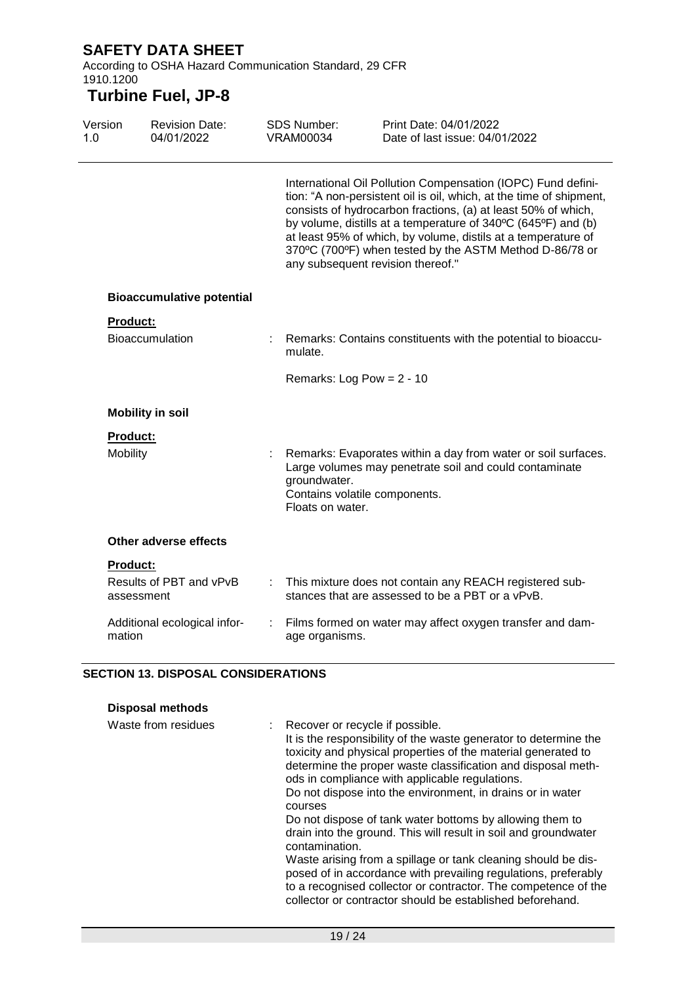According to OSHA Hazard Communication Standard, 29 CFR 1910.1200

# **Turbine Fuel, JP-8**

| Version<br>1.0 |                 | <b>Revision Date:</b><br>04/01/2022 |   | <b>SDS Number:</b><br><b>VRAM00034</b>                            | Print Date: 04/01/2022<br>Date of last issue: 04/01/2022                                                                                                                                                                                                                                                                                                                                          |
|----------------|-----------------|-------------------------------------|---|-------------------------------------------------------------------|---------------------------------------------------------------------------------------------------------------------------------------------------------------------------------------------------------------------------------------------------------------------------------------------------------------------------------------------------------------------------------------------------|
|                |                 |                                     |   | any subsequent revision thereof."                                 | International Oil Pollution Compensation (IOPC) Fund defini-<br>tion: "A non-persistent oil is oil, which, at the time of shipment,<br>consists of hydrocarbon fractions, (a) at least 50% of which,<br>by volume, distills at a temperature of 340°C (645°F) and (b)<br>at least 95% of which, by volume, distils at a temperature of<br>370°C (700°F) when tested by the ASTM Method D-86/78 or |
|                |                 | <b>Bioaccumulative potential</b>    |   |                                                                   |                                                                                                                                                                                                                                                                                                                                                                                                   |
|                | <b>Product:</b> |                                     |   |                                                                   |                                                                                                                                                                                                                                                                                                                                                                                                   |
|                |                 | Bioaccumulation                     |   | mulate.                                                           | : Remarks: Contains constituents with the potential to bioaccu-                                                                                                                                                                                                                                                                                                                                   |
|                |                 |                                     |   | Remarks: Log Pow = $2 - 10$                                       |                                                                                                                                                                                                                                                                                                                                                                                                   |
|                |                 | <b>Mobility in soil</b>             |   |                                                                   |                                                                                                                                                                                                                                                                                                                                                                                                   |
|                | Product:        |                                     |   |                                                                   |                                                                                                                                                                                                                                                                                                                                                                                                   |
|                | <b>Mobility</b> |                                     |   | groundwater.<br>Contains volatile components.<br>Floats on water. | Remarks: Evaporates within a day from water or soil surfaces.<br>Large volumes may penetrate soil and could contaminate                                                                                                                                                                                                                                                                           |
|                |                 | Other adverse effects               |   |                                                                   |                                                                                                                                                                                                                                                                                                                                                                                                   |
|                | <b>Product:</b> |                                     |   |                                                                   |                                                                                                                                                                                                                                                                                                                                                                                                   |
|                | assessment      | Results of PBT and vPvB             |   |                                                                   | This mixture does not contain any REACH registered sub-<br>stances that are assessed to be a PBT or a vPvB.                                                                                                                                                                                                                                                                                       |
|                | mation          | Additional ecological infor-        | ÷ | age organisms.                                                    | Films formed on water may affect oxygen transfer and dam-                                                                                                                                                                                                                                                                                                                                         |

### **SECTION 13. DISPOSAL CONSIDERATIONS**

| <b>Disposal methods</b> |                                                                                                                                                                                                                                                                                                                                                                                                                                                                                                                                                                                                                                                                                                                                                                                    |
|-------------------------|------------------------------------------------------------------------------------------------------------------------------------------------------------------------------------------------------------------------------------------------------------------------------------------------------------------------------------------------------------------------------------------------------------------------------------------------------------------------------------------------------------------------------------------------------------------------------------------------------------------------------------------------------------------------------------------------------------------------------------------------------------------------------------|
| Waste from residues     | Recover or recycle if possible.<br>It is the responsibility of the waste generator to determine the<br>toxicity and physical properties of the material generated to<br>determine the proper waste classification and disposal meth-<br>ods in compliance with applicable regulations.<br>Do not dispose into the environment, in drains or in water<br>courses<br>Do not dispose of tank water bottoms by allowing them to<br>drain into the ground. This will result in soil and groundwater<br>contamination.<br>Waste arising from a spillage or tank cleaning should be dis-<br>posed of in accordance with prevailing regulations, preferably<br>to a recognised collector or contractor. The competence of the<br>collector or contractor should be established beforehand. |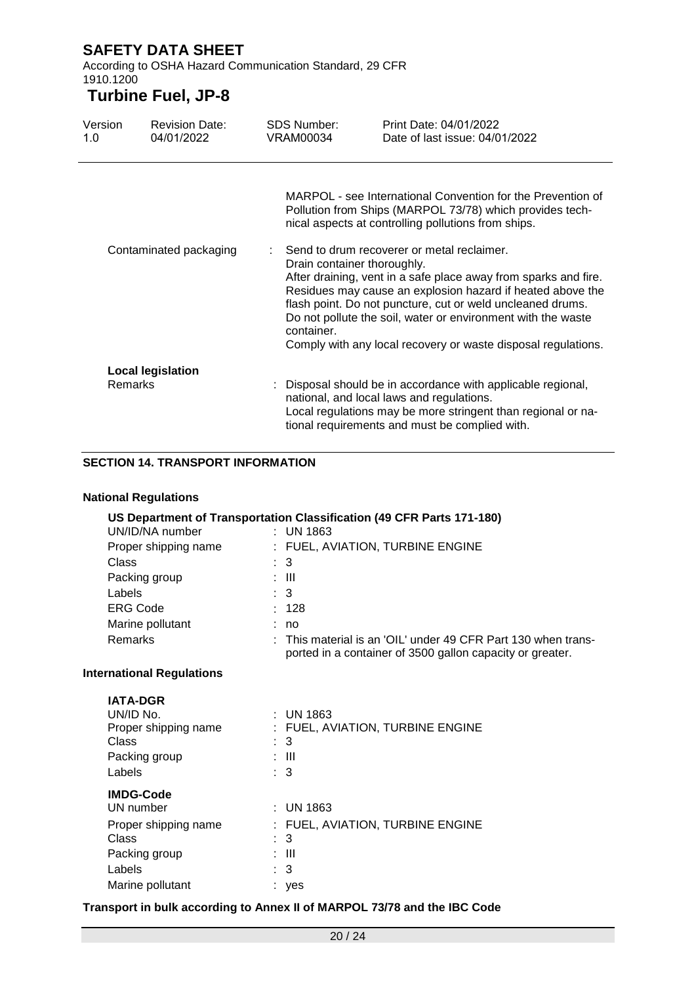According to OSHA Hazard Communication Standard, 29 CFR 1910.1200

### **Turbine Fuel, JP-8**

| Version<br>1.0 | <b>Revision Date:</b><br>04/01/2022 | <b>SDS Number:</b><br><b>VRAM00034</b>    | Print Date: 04/01/2022<br>Date of last issue: 04/01/2022                                                                                                                                                                                                                                                                                                                   |
|----------------|-------------------------------------|-------------------------------------------|----------------------------------------------------------------------------------------------------------------------------------------------------------------------------------------------------------------------------------------------------------------------------------------------------------------------------------------------------------------------------|
|                |                                     |                                           | MARPOL - see International Convention for the Prevention of<br>Pollution from Ships (MARPOL 73/78) which provides tech-<br>nical aspects at controlling pollutions from ships.                                                                                                                                                                                             |
|                | Contaminated packaging              | Drain container thoroughly.<br>container. | Send to drum recoverer or metal reclaimer.<br>After draining, vent in a safe place away from sparks and fire.<br>Residues may cause an explosion hazard if heated above the<br>flash point. Do not puncture, cut or weld uncleaned drums.<br>Do not pollute the soil, water or environment with the waste<br>Comply with any local recovery or waste disposal regulations. |
| <b>Remarks</b> | <b>Local legislation</b>            |                                           | : Disposal should be in accordance with applicable regional,<br>national, and local laws and regulations.<br>Local regulations may be more stringent than regional or na-<br>tional requirements and must be complied with.                                                                                                                                                |

#### **SECTION 14. TRANSPORT INFORMATION**

### **National Regulations**

| US Department of Transportation Classification (49 CFR Parts 171-180) |                                  |                                                                                                                            |  |  |  |  |
|-----------------------------------------------------------------------|----------------------------------|----------------------------------------------------------------------------------------------------------------------------|--|--|--|--|
| UN/ID/NA number                                                       | $:$ UN 1863                      |                                                                                                                            |  |  |  |  |
| Proper shipping name                                                  | : FUEL, AVIATION, TURBINE ENGINE |                                                                                                                            |  |  |  |  |
| Class                                                                 |                                  |                                                                                                                            |  |  |  |  |
| Packing group                                                         | : III                            |                                                                                                                            |  |  |  |  |
| Labels                                                                |                                  |                                                                                                                            |  |  |  |  |
| <b>ERG Code</b>                                                       | : 128                            |                                                                                                                            |  |  |  |  |
| Marine pollutant                                                      | : no                             |                                                                                                                            |  |  |  |  |
| <b>Remarks</b>                                                        |                                  | : This material is an 'OIL' under 49 CFR Part 130 when trans-<br>ported in a container of 3500 gallon capacity or greater. |  |  |  |  |

#### **International Regulations**

| <b>IATA-DGR</b><br>UN/ID No.<br>Proper shipping name<br>Class<br>Packing group<br>Labels | $:$ UN 1863<br>FUEL, AVIATION, TURBINE ENGINE<br>: 3<br>: III<br>$\therefore$ 3 |  |
|------------------------------------------------------------------------------------------|---------------------------------------------------------------------------------|--|
| <b>IMDG-Code</b>                                                                         |                                                                                 |  |
| UN number                                                                                | $:$ UN 1863                                                                     |  |
| Proper shipping name                                                                     | : FUEL, AVIATION, TURBINE ENGINE                                                |  |
| Class                                                                                    | : 3                                                                             |  |
| Packing group                                                                            | -III                                                                            |  |
| Labels                                                                                   | 3<br>÷.                                                                         |  |
| Marine pollutant                                                                         | yes                                                                             |  |

#### **Transport in bulk according to Annex II of MARPOL 73/78 and the IBC Code**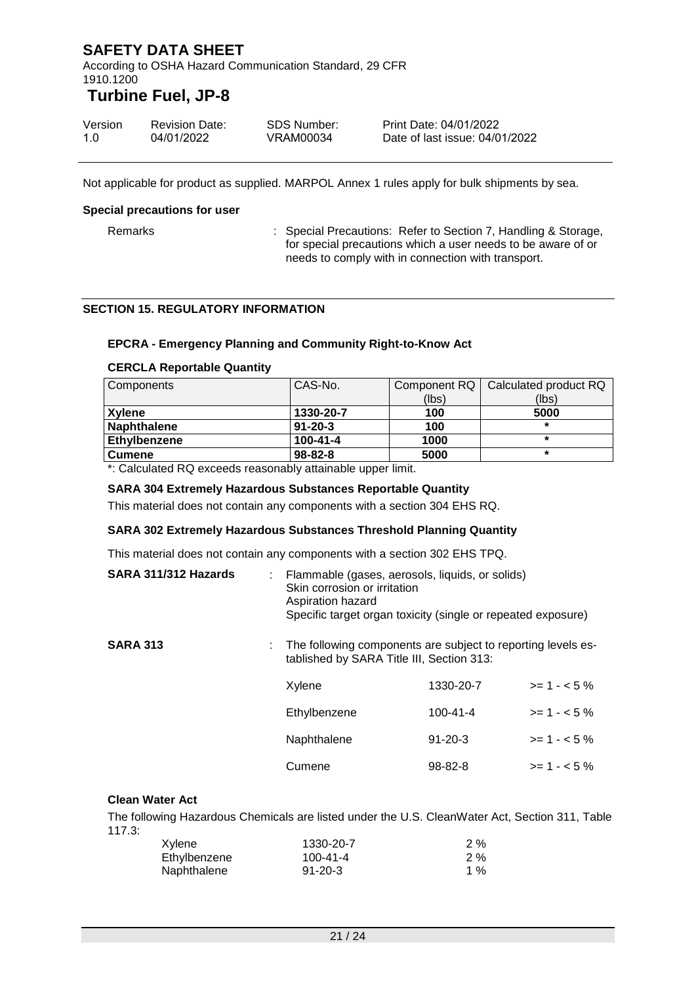According to OSHA Hazard Communication Standard, 29 CFR 1910.1200

### **Turbine Fuel, JP-8**

| Version | <b>Revision Date:</b> | SDS Number: | Print Date: 04/01/2022         |
|---------|-----------------------|-------------|--------------------------------|
| 1.0     | 04/01/2022            | VRAM00034   | Date of last issue: 04/01/2022 |

Not applicable for product as supplied. MARPOL Annex 1 rules apply for bulk shipments by sea.

#### **Special precautions for user**

Remarks : Special Precautions: Refer to Section 7, Handling & Storage, for special precautions which a user needs to be aware of or needs to comply with in connection with transport.

#### **SECTION 15. REGULATORY INFORMATION**

#### **EPCRA - Emergency Planning and Community Right-to-Know Act**

#### **CERCLA Reportable Quantity**

| Components         | CAS-No.        |       | Component RQ   Calculated product RQ |
|--------------------|----------------|-------|--------------------------------------|
|                    |                | (lbs) | (lbs)                                |
| Xvlene             | 1330-20-7      | 100   | 5000                                 |
| <b>Naphthalene</b> | $91 - 20 - 3$  | 100   | $\star$                              |
| Ethylbenzene       | $100 - 41 - 4$ | 1000  |                                      |
| <b>Cumene</b>      | $98 - 82 - 8$  | 5000  | $\star$                              |

\*: Calculated RQ exceeds reasonably attainable upper limit.

#### **SARA 304 Extremely Hazardous Substances Reportable Quantity**

This material does not contain any components with a section 304 EHS RQ.

#### **SARA 302 Extremely Hazardous Substances Threshold Planning Quantity**

This material does not contain any components with a section 302 EHS TPQ.

| SARA 311/312 Hazards | Flammable (gases, aerosols, liquids, or solids)<br>Skin corrosion or irritation<br>Aspiration hazard<br>Specific target organ toxicity (single or repeated exposure) |                |              |
|----------------------|----------------------------------------------------------------------------------------------------------------------------------------------------------------------|----------------|--------------|
| <b>SARA 313</b>      | : The following components are subject to reporting levels es-<br>tablished by SARA Title III, Section 313:                                                          |                |              |
|                      | Xylene                                                                                                                                                               | 1330-20-7      | $>= 1 - 5%$  |
|                      | Ethylbenzene                                                                                                                                                         | $100 - 41 - 4$ | $>= 1 - 5%$  |
|                      | Naphthalene                                                                                                                                                          | $91 - 20 - 3$  | $>= 1 - 5%$  |
|                      | Cumene                                                                                                                                                               | $98 - 82 - 8$  | $>= 1 - 5\%$ |

#### **Clean Water Act**

The following Hazardous Chemicals are listed under the U.S. CleanWater Act, Section 311, Table 117.3:

| Xylene       | 1330-20-7      | $2 \%$ |
|--------------|----------------|--------|
| Ethylbenzene | $100 - 41 - 4$ | $2 \%$ |
| Naphthalene  | $91 - 20 - 3$  | 1 %    |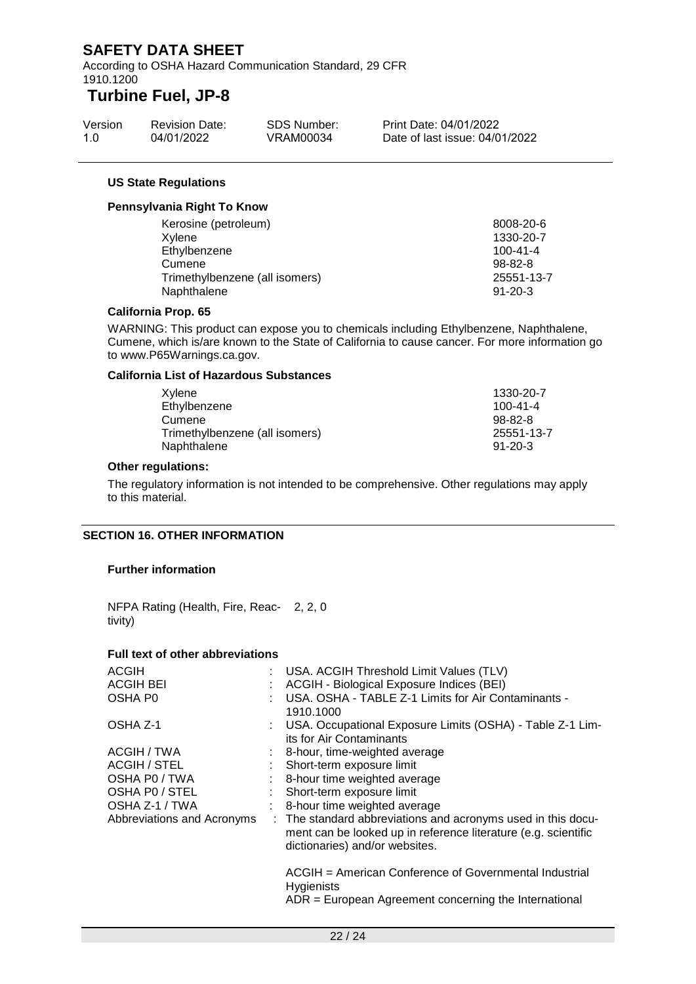According to OSHA Hazard Communication Standard, 29 CFR 1910.1200

### **Turbine Fuel, JP-8**

| Version | <b>Revision Date:</b> | SDS Number: | Print Date: 04/01/2022         |
|---------|-----------------------|-------------|--------------------------------|
| 1.0     | 04/01/2022            | VRAM00034   | Date of last issue: 04/01/2022 |

#### **US State Regulations**

#### **Pennsylvania Right To Know**

| Kerosine (petroleum)           | 8008-20-6      |
|--------------------------------|----------------|
| Xylene                         | 1330-20-7      |
| Ethylbenzene                   | $100 - 41 - 4$ |
| Cumene                         | 98-82-8        |
| Trimethylbenzene (all isomers) | 25551-13-7     |
| Naphthalene                    | $91 - 20 - 3$  |
|                                |                |

#### **California Prop. 65**

WARNING: This product can expose you to chemicals including Ethylbenzene, Naphthalene, Cumene, which is/are known to the State of California to cause cancer. For more information go to www.P65Warnings.ca.gov.

#### **California List of Hazardous Substances**

| Xvlene                         | 1330-20-7      |
|--------------------------------|----------------|
| Ethylbenzene                   | $100 - 41 - 4$ |
| Cumene                         | $98-82-8$      |
| Trimethylbenzene (all isomers) | 25551-13-7     |
| Naphthalene                    | $91 - 20 - 3$  |

#### **Other regulations:**

The regulatory information is not intended to be comprehensive. Other regulations may apply to this material.

#### **SECTION 16. OTHER INFORMATION**

#### **Further information**

NFPA Rating (Health, Fire, Reac-2, 2, 0 tivity)

#### **Full text of other abbreviations**

| <b>ACGIH</b>               | : USA. ACGIH Threshold Limit Values (TLV)                                                                                                                        |
|----------------------------|------------------------------------------------------------------------------------------------------------------------------------------------------------------|
| <b>ACGIH BEI</b>           | ACGIH - Biological Exposure Indices (BEI)                                                                                                                        |
| OSHA P0                    | USA. OSHA - TABLE Z-1 Limits for Air Contaminants -<br>1910.1000                                                                                                 |
| OSHA Z-1                   | : USA. Occupational Exposure Limits (OSHA) - Table Z-1 Lim-<br>its for Air Contaminants                                                                          |
| ACGIH / TWA                | : 8-hour, time-weighted average                                                                                                                                  |
| ACGIH / STEL               | Short-term exposure limit                                                                                                                                        |
| OSHA P0 / TWA              | 8-hour time weighted average                                                                                                                                     |
| OSHA PO / STEL             | Short-term exposure limit                                                                                                                                        |
| OSHA Z-1 / TWA             | : 8-hour time weighted average                                                                                                                                   |
| Abbreviations and Acronyms | : The standard abbreviations and acronyms used in this docu-<br>ment can be looked up in reference literature (e.g. scientific<br>dictionaries) and/or websites. |
|                            | ACGIH = American Conference of Governmental Industrial<br><b>Hygienists</b>                                                                                      |
|                            | $ADR = European Agreement concerning the International$                                                                                                          |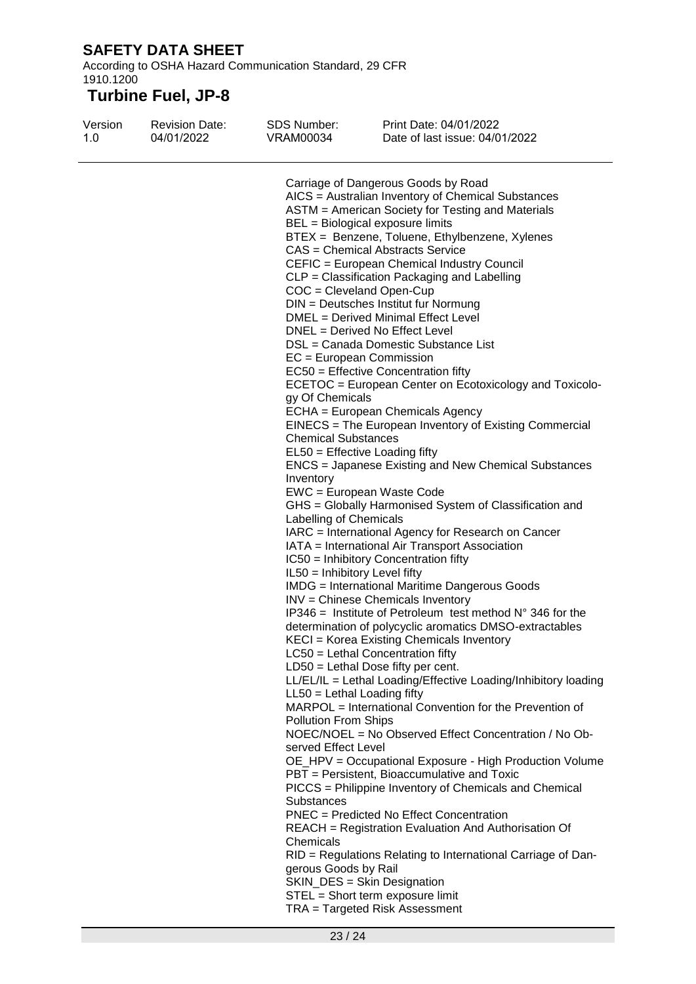According to OSHA Hazard Communication Standard, 29 CFR 1910.1200

| Version<br>1.0 | <b>Revision Date:</b><br>04/01/2022 | <b>SDS Number:</b><br>VRAM00034 | Print Date: 04/01/2022<br>Date of last issue: 04/01/2022           |
|----------------|-------------------------------------|---------------------------------|--------------------------------------------------------------------|
|                |                                     |                                 | Carriage of Dangerous Goods by Road                                |
|                |                                     |                                 | AICS = Australian Inventory of Chemical Substances                 |
|                |                                     |                                 | ASTM = American Society for Testing and Materials                  |
|                |                                     |                                 | BEL = Biological exposure limits                                   |
|                |                                     |                                 | BTEX = Benzene, Toluene, Ethylbenzene, Xylenes                     |
|                |                                     |                                 | <b>CAS = Chemical Abstracts Service</b>                            |
|                |                                     |                                 | CEFIC = European Chemical Industry Council                         |
|                |                                     |                                 | CLP = Classification Packaging and Labelling                       |
|                |                                     |                                 | $COC = Cleveland Open-Cup$                                         |
|                |                                     |                                 | DIN = Deutsches Institut fur Normung                               |
|                |                                     |                                 | DMEL = Derived Minimal Effect Level                                |
|                |                                     |                                 | DNEL = Derived No Effect Level                                     |
|                |                                     |                                 | DSL = Canada Domestic Substance List                               |
|                |                                     |                                 | EC = European Commission                                           |
|                |                                     |                                 | EC50 = Effective Concentration fifty                               |
|                |                                     |                                 | ECETOC = European Center on Ecotoxicology and Toxicolo-            |
|                |                                     | gy Of Chemicals                 |                                                                    |
|                |                                     |                                 | ECHA = European Chemicals Agency                                   |
|                |                                     |                                 | EINECS = The European Inventory of Existing Commercial             |
|                |                                     | <b>Chemical Substances</b>      |                                                                    |
|                |                                     |                                 | $EL50 = E$ ffective Loading fifty                                  |
|                |                                     |                                 | ENCS = Japanese Existing and New Chemical Substances               |
|                |                                     | Inventory                       |                                                                    |
|                |                                     |                                 | EWC = European Waste Code                                          |
|                |                                     |                                 | GHS = Globally Harmonised System of Classification and             |
|                |                                     | Labelling of Chemicals          |                                                                    |
|                |                                     |                                 | IARC = International Agency for Research on Cancer                 |
|                |                                     |                                 | IATA = International Air Transport Association                     |
|                |                                     |                                 | IC50 = Inhibitory Concentration fifty                              |
|                |                                     | IL50 = Inhibitory Level fifty   |                                                                    |
|                |                                     |                                 | <b>IMDG</b> = International Maritime Dangerous Goods               |
|                |                                     |                                 | INV = Chinese Chemicals Inventory                                  |
|                |                                     |                                 | IP346 = Institute of Petroleum test method $N^{\circ}$ 346 for the |
|                |                                     |                                 | determination of polycyclic aromatics DMSO-extractables            |
|                |                                     |                                 | KECI = Korea Existing Chemicals Inventory                          |
|                |                                     |                                 | LC50 = Lethal Concentration fifty                                  |
|                |                                     |                                 | LD50 = Lethal Dose fifty per cent.                                 |
|                |                                     |                                 | LL/EL/IL = Lethal Loading/Effective Loading/Inhibitory loading     |
|                |                                     | $LL50 = Lethal$ Loading fifty   |                                                                    |
|                |                                     |                                 | MARPOL = International Convention for the Prevention of            |
|                |                                     | <b>Pollution From Ships</b>     |                                                                    |
|                |                                     |                                 | NOEC/NOEL = No Observed Effect Concentration / No Ob-              |
|                |                                     | served Effect Level             |                                                                    |
|                |                                     |                                 | OE_HPV = Occupational Exposure - High Production Volume            |
|                |                                     |                                 | PBT = Persistent, Bioaccumulative and Toxic                        |
|                |                                     |                                 | PICCS = Philippine Inventory of Chemicals and Chemical             |
|                |                                     | <b>Substances</b>               |                                                                    |
|                |                                     |                                 | <b>PNEC</b> = Predicted No Effect Concentration                    |
|                |                                     |                                 | REACH = Registration Evaluation And Authorisation Of               |
|                |                                     |                                 |                                                                    |
|                |                                     | Chemicals                       |                                                                    |
|                |                                     |                                 | RID = Regulations Relating to International Carriage of Dan-       |
|                |                                     | gerous Goods by Rail            |                                                                    |
|                |                                     |                                 | SKIN_DES = Skin Designation                                        |
|                |                                     |                                 | STEL = Short term exposure limit                                   |
|                |                                     |                                 | TRA = Targeted Risk Assessment                                     |